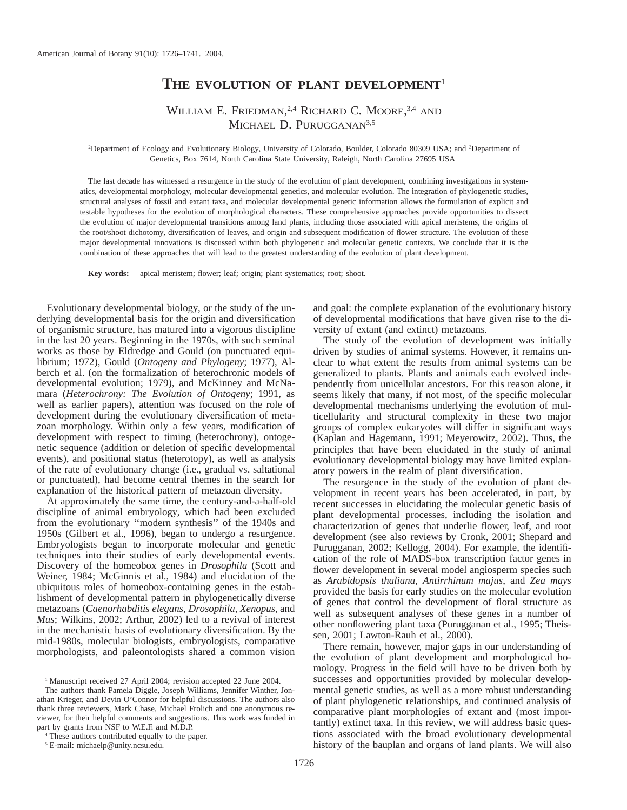# **THE EVOLUTION OF PLANT DEVELOPMENT**<sup>1</sup>

## WILLIAM E. FRIEDMAN,<sup>2,4</sup> RICHARD C. MOORE,<sup>3,4</sup> AND MICHAEL D. PURUGGANAN<sup>3,5</sup>

2 Department of Ecology and Evolutionary Biology, University of Colorado, Boulder, Colorado 80309 USA; and <sup>3</sup> Department of Genetics, Box 7614, North Carolina State University, Raleigh, North Carolina 27695 USA

The last decade has witnessed a resurgence in the study of the evolution of plant development, combining investigations in systematics, developmental morphology, molecular developmental genetics, and molecular evolution. The integration of phylogenetic studies, structural analyses of fossil and extant taxa, and molecular developmental genetic information allows the formulation of explicit and testable hypotheses for the evolution of morphological characters. These comprehensive approaches provide opportunities to dissect the evolution of major developmental transitions among land plants, including those associated with apical meristems, the origins of the root/shoot dichotomy, diversification of leaves, and origin and subsequent modification of flower structure. The evolution of these major developmental innovations is discussed within both phylogenetic and molecular genetic contexts. We conclude that it is the combination of these approaches that will lead to the greatest understanding of the evolution of plant development.

**Key words:** apical meristem; flower; leaf; origin; plant systematics; root; shoot.

Evolutionary developmental biology, or the study of the underlying developmental basis for the origin and diversification of organismic structure, has matured into a vigorous discipline in the last 20 years. Beginning in the 1970s, with such seminal works as those by Eldredge and Gould (on punctuated equilibrium; 1972), Gould (*Ontogeny and Phylogeny*; 1977), Alberch et al. (on the formalization of heterochronic models of developmental evolution; 1979), and McKinney and McNamara (*Heterochrony: The Evolution of Ontogeny*; 1991, as well as earlier papers), attention was focused on the role of development during the evolutionary diversification of metazoan morphology. Within only a few years, modification of development with respect to timing (heterochrony), ontogenetic sequence (addition or deletion of specific developmental events), and positional status (heterotopy), as well as analysis of the rate of evolutionary change (i.e., gradual vs. saltational or punctuated), had become central themes in the search for explanation of the historical pattern of metazoan diversity.

At approximately the same time, the century-and-a-half-old discipline of animal embryology, which had been excluded from the evolutionary ''modern synthesis'' of the 1940s and 1950s (Gilbert et al., 1996), began to undergo a resurgence. Embryologists began to incorporate molecular and genetic techniques into their studies of early developmental events. Discovery of the homeobox genes in *Drosophila* (Scott and Weiner, 1984; McGinnis et al., 1984) and elucidation of the ubiquitous roles of homeobox-containing genes in the establishment of developmental pattern in phylogenetically diverse metazoans (*Caenorhabditis elegans*, *Drosophila*, *Xenopus*, and *Mus*; Wilkins, 2002; Arthur, 2002) led to a revival of interest in the mechanistic basis of evolutionary diversification. By the mid-1980s, molecular biologists, embryologists, comparative morphologists, and paleontologists shared a common vision

<sup>4</sup> These authors contributed equally to the paper.

<sup>5</sup> E-mail: michaelp@unity.ncsu.edu.

and goal: the complete explanation of the evolutionary history of developmental modifications that have given rise to the diversity of extant (and extinct) metazoans.

The study of the evolution of development was initially driven by studies of animal systems. However, it remains unclear to what extent the results from animal systems can be generalized to plants. Plants and animals each evolved independently from unicellular ancestors. For this reason alone, it seems likely that many, if not most, of the specific molecular developmental mechanisms underlying the evolution of multicellularity and structural complexity in these two major groups of complex eukaryotes will differ in significant ways (Kaplan and Hagemann, 1991; Meyerowitz, 2002). Thus, the principles that have been elucidated in the study of animal evolutionary developmental biology may have limited explanatory powers in the realm of plant diversification.

The resurgence in the study of the evolution of plant development in recent years has been accelerated, in part, by recent successes in elucidating the molecular genetic basis of plant developmental processes, including the isolation and characterization of genes that underlie flower, leaf, and root development (see also reviews by Cronk, 2001; Shepard and Purugganan, 2002; Kellogg, 2004). For example, the identification of the role of MADS-box transcription factor genes in flower development in several model angiosperm species such as *Arabidopsis thaliana*, *Antirrhinum majus*, and *Zea mays* provided the basis for early studies on the molecular evolution of genes that control the development of floral structure as well as subsequent analyses of these genes in a number of other nonflowering plant taxa (Purugganan et al., 1995; Theissen, 2001; Lawton-Rauh et al., 2000).

There remain, however, major gaps in our understanding of the evolution of plant development and morphological homology. Progress in the field will have to be driven both by successes and opportunities provided by molecular developmental genetic studies, as well as a more robust understanding of plant phylogenetic relationships, and continued analysis of comparative plant morphologies of extant and (most importantly) extinct taxa. In this review, we will address basic questions associated with the broad evolutionary developmental history of the bauplan and organs of land plants. We will also

<sup>1</sup> Manuscript received 27 April 2004; revision accepted 22 June 2004.

The authors thank Pamela Diggle, Joseph Williams, Jennifer Winther, Jonathan Krieger, and Devin O'Connor for helpful discussions. The authors also thank three reviewers, Mark Chase, Michael Frolich and one anonymous reviewer, for their helpful comments and suggestions. This work was funded in part by grants from NSF to W.E.F. and M.D.P.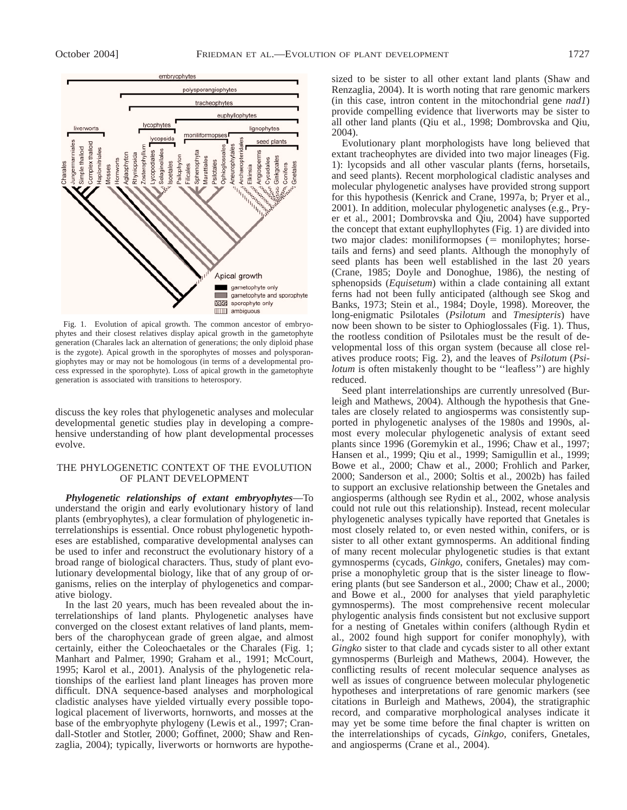

Fig. 1. Evolution of apical growth. The common ancestor of embryophytes and their closest relatives display apical growth in the gametophyte generation (Charales lack an alternation of generations; the only diploid phase is the zygote). Apical growth in the sporophytes of mosses and polysporangiophytes may or may not be homologous (in terms of a developmental process expressed in the sporophyte). Loss of apical growth in the gametophyte generation is associated with transitions to heterospory.

discuss the key roles that phylogenetic analyses and molecular developmental genetic studies play in developing a comprehensive understanding of how plant developmental processes evolve.

### THE PHYLOGENETIC CONTEXT OF THE EVOLUTION OF PLANT DEVELOPMENT

*Phylogenetic relationships of extant embryophytes*—To understand the origin and early evolutionary history of land plants (embryophytes), a clear formulation of phylogenetic interrelationships is essential. Once robust phylogenetic hypotheses are established, comparative developmental analyses can be used to infer and reconstruct the evolutionary history of a broad range of biological characters. Thus, study of plant evolutionary developmental biology, like that of any group of organisms, relies on the interplay of phylogenetics and comparative biology.

In the last 20 years, much has been revealed about the interrelationships of land plants. Phylogenetic analyses have converged on the closest extant relatives of land plants, members of the charophycean grade of green algae, and almost certainly, either the Coleochaetales or the Charales (Fig. 1; Manhart and Palmer, 1990; Graham et al., 1991; McCourt, 1995; Karol et al., 2001). Analysis of the phylogenetic relationships of the earliest land plant lineages has proven more difficult. DNA sequence-based analyses and morphological cladistic analyses have yielded virtually every possible topological placement of liverworts, hornworts, and mosses at the base of the embryophyte phylogeny (Lewis et al., 1997; Crandall-Stotler and Stotler, 2000; Goffinet, 2000; Shaw and Renzaglia, 2004); typically, liverworts or hornworts are hypothesized to be sister to all other extant land plants (Shaw and Renzaglia, 2004). It is worth noting that rare genomic markers (in this case, intron content in the mitochondrial gene *nad1*) provide compelling evidence that liverworts may be sister to all other land plants (Qiu et al., 1998; Dombrovska and Qiu, 2004).

Evolutionary plant morphologists have long believed that extant tracheophytes are divided into two major lineages (Fig. 1): lycopsids and all other vascular plants (ferns, horsetails, and seed plants). Recent morphological cladistic analyses and molecular phylogenetic analyses have provided strong support for this hypothesis (Kenrick and Crane, 1997a, b; Pryer et al., 2001). In addition, molecular phylogenetic analyses (e.g., Pryer et al., 2001; Dombrovska and Qiu, 2004) have supported the concept that extant euphyllophytes (Fig. 1) are divided into two major clades: moniliformopses  $(=$  monilophytes; horsetails and ferns) and seed plants. Although the monophyly of seed plants has been well established in the last 20 years (Crane, 1985; Doyle and Donoghue, 1986), the nesting of sphenopsids (*Equisetum*) within a clade containing all extant ferns had not been fully anticipated (although see Skog and Banks, 1973; Stein et al., 1984; Doyle, 1998). Moreover, the long-enigmatic Psilotales (*Psilotum* and *Tmesipteris*) have now been shown to be sister to Ophioglossales (Fig. 1). Thus, the rootless condition of Psilotales must be the result of developmental loss of this organ system (because all close relatives produce roots; Fig. 2), and the leaves of *Psilotum* (*Psilotum* is often mistakenly thought to be "leafless") are highly reduced.

Seed plant interrelationships are currently unresolved (Burleigh and Mathews, 2004). Although the hypothesis that Gnetales are closely related to angiosperms was consistently supported in phylogenetic analyses of the 1980s and 1990s, almost every molecular phylogenetic analysis of extant seed plants since 1996 (Goremykin et al., 1996; Chaw et al., 1997; Hansen et al., 1999; Qiu et al., 1999; Samigullin et al., 1999; Bowe et al., 2000; Chaw et al., 2000; Frohlich and Parker, 2000; Sanderson et al., 2000; Soltis et al., 2002b) has failed to support an exclusive relationship between the Gnetales and angiosperms (although see Rydin et al., 2002, whose analysis could not rule out this relationship). Instead, recent molecular phylogenetic analyses typically have reported that Gnetales is most closely related to, or even nested within, conifers, or is sister to all other extant gymnosperms. An additional finding of many recent molecular phylogenetic studies is that extant gymnosperms (cycads, *Ginkgo*, conifers, Gnetales) may comprise a monophyletic group that is the sister lineage to flowering plants (but see Sanderson et al., 2000; Chaw et al., 2000; and Bowe et al., 2000 for analyses that yield paraphyletic gymnosperms). The most comprehensive recent molecular phylogentic analysis finds consistent but not exclusive support for a nesting of Gnetales within conifers (although Rydin et al., 2002 found high support for conifer monophyly), with *Gingko* sister to that clade and cycads sister to all other extant gymnosperms (Burleigh and Mathews, 2004). However, the conflicting results of recent molecular sequence analyses as well as issues of congruence between molecular phylogenetic hypotheses and interpretations of rare genomic markers (see citations in Burleigh and Mathews, 2004), the stratigraphic record, and comparative morphological analyses indicate it may yet be some time before the final chapter is written on the interrelationships of cycads, *Ginkgo*, conifers, Gnetales, and angiosperms (Crane et al., 2004).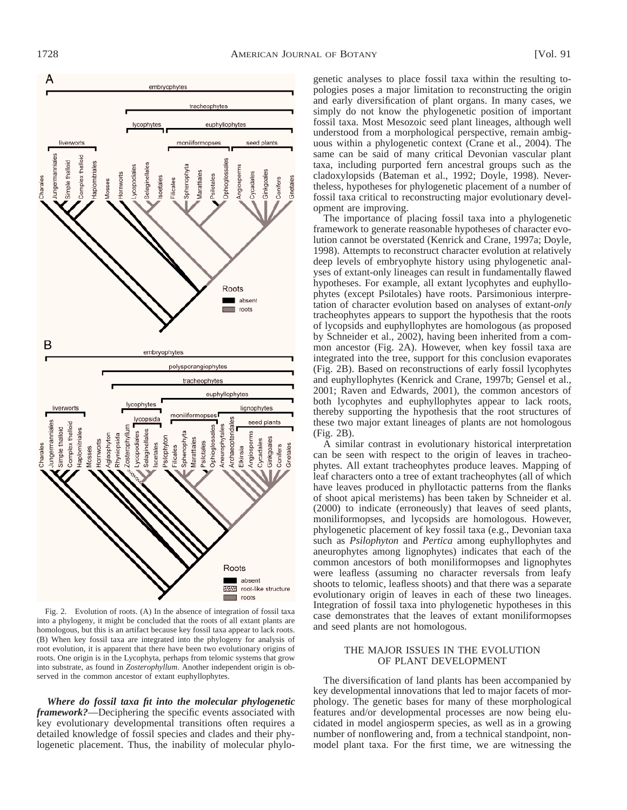

Fig. 2. Evolution of roots. (A) In the absence of integration of fossil taxa into a phylogeny, it might be concluded that the roots of all extant plants are homologous, but this is an artifact because key fossil taxa appear to lack roots. (B) When key fossil taxa are integrated into the phylogeny for analysis of root evolution, it is apparent that there have been two evolutionary origins of roots. One origin is in the Lycophyta, perhaps from telomic systems that grow into substrate, as found in *Zosterophyllum*. Another independent origin is observed in the common ancestor of extant euphyllophytes.

*Where do fossil taxa fit into the molecular phylogenetic framework?*—Deciphering the specific events associated with key evolutionary developmental transitions often requires a detailed knowledge of fossil species and clades and their phylogenetic placement. Thus, the inability of molecular phylo-

genetic analyses to place fossil taxa within the resulting topologies poses a major limitation to reconstructing the origin and early diversification of plant organs. In many cases, we simply do not know the phylogenetic position of important fossil taxa. Most Mesozoic seed plant lineages, although well understood from a morphological perspective, remain ambiguous within a phylogenetic context (Crane et al., 2004). The same can be said of many critical Devonian vascular plant taxa, including purported fern ancestral groups such as the cladoxylopsids (Bateman et al., 1992; Doyle, 1998). Nevertheless, hypotheses for phylogenetic placement of a number of fossil taxa critical to reconstructing major evolutionary development are improving.

The importance of placing fossil taxa into a phylogenetic framework to generate reasonable hypotheses of character evolution cannot be overstated (Kenrick and Crane, 1997a; Doyle, 1998). Attempts to reconstruct character evolution at relatively deep levels of embryophyte history using phylogenetic analyses of extant-only lineages can result in fundamentally flawed hypotheses. For example, all extant lycophytes and euphyllophytes (except Psilotales) have roots. Parsimonious interpretation of character evolution based on analyses of extant-*only* tracheophytes appears to support the hypothesis that the roots of lycopsids and euphyllophytes are homologous (as proposed by Schneider et al., 2002), having been inherited from a common ancestor (Fig. 2A). However, when key fossil taxa are integrated into the tree, support for this conclusion evaporates (Fig. 2B). Based on reconstructions of early fossil lycophytes and euphyllophytes (Kenrick and Crane, 1997b; Gensel et al., 2001; Raven and Edwards, 2001), the common ancestors of both lycophytes and euphyllophytes appear to lack roots, thereby supporting the hypothesis that the root structures of these two major extant lineages of plants are not homologous (Fig. 2B).

A similar contrast in evolutionary historical interpretation can be seen with respect to the origin of leaves in tracheophytes. All extant tracheophytes produce leaves. Mapping of leaf characters onto a tree of extant tracheophytes (all of which have leaves produced in phyllotactic patterns from the flanks of shoot apical meristems) has been taken by Schneider et al. (2000) to indicate (erroneously) that leaves of seed plants, moniliformopses, and lycopsids are homologous. However, phylogenetic placement of key fossil taxa (e.g., Devonian taxa such as *Psilophyton* and *Pertica* among euphyllophytes and aneurophytes among lignophytes) indicates that each of the common ancestors of both moniliformopses and lignophytes were leafless (assuming no character reversals from leafy shoots to telomic, leafless shoots) and that there was a separate evolutionary origin of leaves in each of these two lineages. Integration of fossil taxa into phylogenetic hypotheses in this case demonstrates that the leaves of extant moniliformopses and seed plants are not homologous.

### THE MAJOR ISSUES IN THE EVOLUTION OF PLANT DEVELOPMENT

The diversification of land plants has been accompanied by key developmental innovations that led to major facets of morphology. The genetic bases for many of these morphological features and/or developmental processes are now being elucidated in model angiosperm species, as well as in a growing number of nonflowering and, from a technical standpoint, nonmodel plant taxa. For the first time, we are witnessing the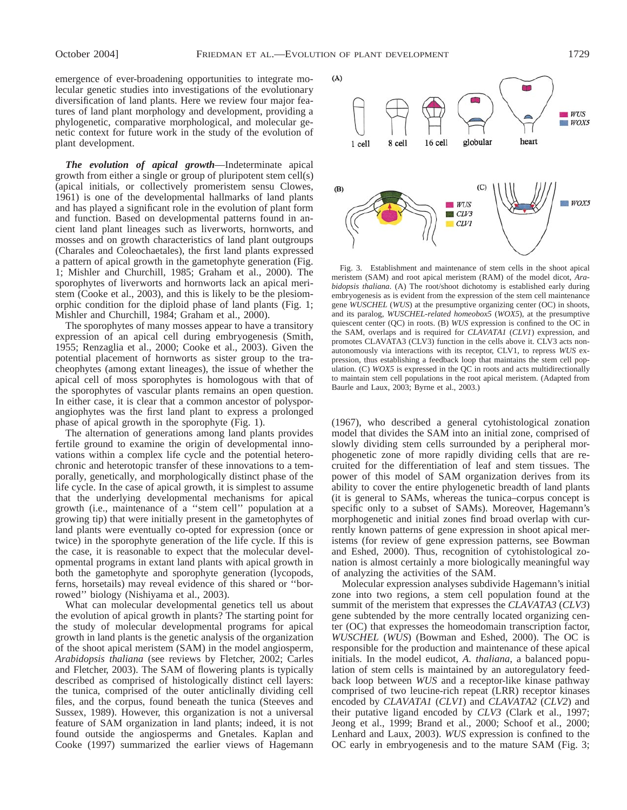emergence of ever-broadening opportunities to integrate molecular genetic studies into investigations of the evolutionary diversification of land plants. Here we review four major features of land plant morphology and development, providing a phylogenetic, comparative morphological, and molecular genetic context for future work in the study of the evolution of plant development.

*The evolution of apical growth*—Indeterminate apical growth from either a single or group of pluripotent stem cell(s) (apical initials, or collectively promeristem sensu Clowes, 1961) is one of the developmental hallmarks of land plants and has played a significant role in the evolution of plant form and function. Based on developmental patterns found in ancient land plant lineages such as liverworts, hornworts, and mosses and on growth characteristics of land plant outgroups (Charales and Coleochaetales), the first land plants expressed a pattern of apical growth in the gametophyte generation (Fig. 1; Mishler and Churchill, 1985; Graham et al., 2000). The sporophytes of liverworts and hornworts lack an apical meristem (Cooke et al., 2003), and this is likely to be the plesiomorphic condition for the diploid phase of land plants (Fig. 1; Mishler and Churchill, 1984; Graham et al., 2000).

The sporophytes of many mosses appear to have a transitory expression of an apical cell during embryogenesis (Smith, 1955; Renzaglia et al., 2000; Cooke et al., 2003). Given the potential placement of hornworts as sister group to the tracheophytes (among extant lineages), the issue of whether the apical cell of moss sporophytes is homologous with that of the sporophytes of vascular plants remains an open question. In either case, it is clear that a common ancestor of polysporangiophytes was the first land plant to express a prolonged phase of apical growth in the sporophyte (Fig. 1).

The alternation of generations among land plants provides fertile ground to examine the origin of developmental innovations within a complex life cycle and the potential heterochronic and heterotopic transfer of these innovations to a temporally, genetically, and morphologically distinct phase of the life cycle. In the case of apical growth, it is simplest to assume that the underlying developmental mechanisms for apical growth (i.e., maintenance of a ''stem cell'' population at a growing tip) that were initially present in the gametophytes of land plants were eventually co-opted for expression (once or twice) in the sporophyte generation of the life cycle. If this is the case, it is reasonable to expect that the molecular developmental programs in extant land plants with apical growth in both the gametophyte and sporophyte generation (lycopods, ferns, horsetails) may reveal evidence of this shared or ''borrowed'' biology (Nishiyama et al., 2003).

What can molecular developmental genetics tell us about the evolution of apical growth in plants? The starting point for the study of molecular developmental programs for apical growth in land plants is the genetic analysis of the organization of the shoot apical meristem (SAM) in the model angiosperm, *Arabidopsis thaliana* (see reviews by Fletcher, 2002; Carles and Fletcher, 2003). The SAM of flowering plants is typically described as comprised of histologically distinct cell layers: the tunica, comprised of the outer anticlinally dividing cell files, and the corpus, found beneath the tunica (Steeves and Sussex, 1989). However, this organization is not a universal feature of SAM organization in land plants; indeed, it is not found outside the angiosperms and Gnetales. Kaplan and Cooke (1997) summarized the earlier views of Hagemann



Fig. 3. Establishment and maintenance of stem cells in the shoot apical meristem (SAM) and root apical meristem (RAM) of the model dicot, *Arabidopsis thaliana*. (A) The root/shoot dichotomy is established early during embryogenesis as is evident from the expression of the stem cell maintenance gene *WUSCHEL* (*WUS*) at the presumptive organizing center (OC) in shoots, and its paralog, *WUSCHEL-related homeobox5* (*WOX5*), at the presumptive quiescent center (QC) in roots. (B) *WUS* expression is confined to the OC in the SAM, overlaps and is required for *CLAVATA1* (*CLV1*) expression, and promotes CLAVATA3 (CLV3) function in the cells above it. CLV3 acts nonautonomously via interactions with its receptor, CLV1, to repress *WUS* expression, thus establishing a feedback loop that maintains the stem cell population. (C) *WOX5* is expressed in the QC in roots and acts multidirectionally to maintain stem cell populations in the root apical meristem. (Adapted from Baurle and Laux, 2003; Byrne et al., 2003.)

(1967), who described a general cytohistological zonation model that divides the SAM into an initial zone, comprised of slowly dividing stem cells surrounded by a peripheral morphogenetic zone of more rapidly dividing cells that are recruited for the differentiation of leaf and stem tissues. The power of this model of SAM organization derives from its ability to cover the entire phylogenetic breadth of land plants (it is general to SAMs, whereas the tunica–corpus concept is specific only to a subset of SAMs). Moreover, Hagemann's morphogenetic and initial zones find broad overlap with currently known patterns of gene expression in shoot apical meristems (for review of gene expression patterns, see Bowman and Eshed, 2000). Thus, recognition of cytohistological zonation is almost certainly a more biologically meaningful way of analyzing the activities of the SAM.

Molecular expression analyses subdivide Hagemann's initial zone into two regions, a stem cell population found at the summit of the meristem that expresses the *CLAVATA3* (*CLV3*) gene subtended by the more centrally located organizing center (OC) that expresses the homeodomain transcription factor, *WUSCHEL* (*WUS*) (Bowman and Eshed, 2000). The OC is responsible for the production and maintenance of these apical initials. In the model eudicot, *A. thaliana*, a balanced population of stem cells is maintained by an autoregulatory feedback loop between *WUS* and a receptor-like kinase pathway comprised of two leucine-rich repeat (LRR) receptor kinases encoded by *CLAVATA1* (*CLV1*) and *CLAVATA2* (*CLV2*) and their putative ligand encoded by *CLV3* (Clark et al., 1997; Jeong et al., 1999; Brand et al., 2000; Schoof et al., 2000; Lenhard and Laux, 2003). *WUS* expression is confined to the OC early in embryogenesis and to the mature SAM (Fig. 3;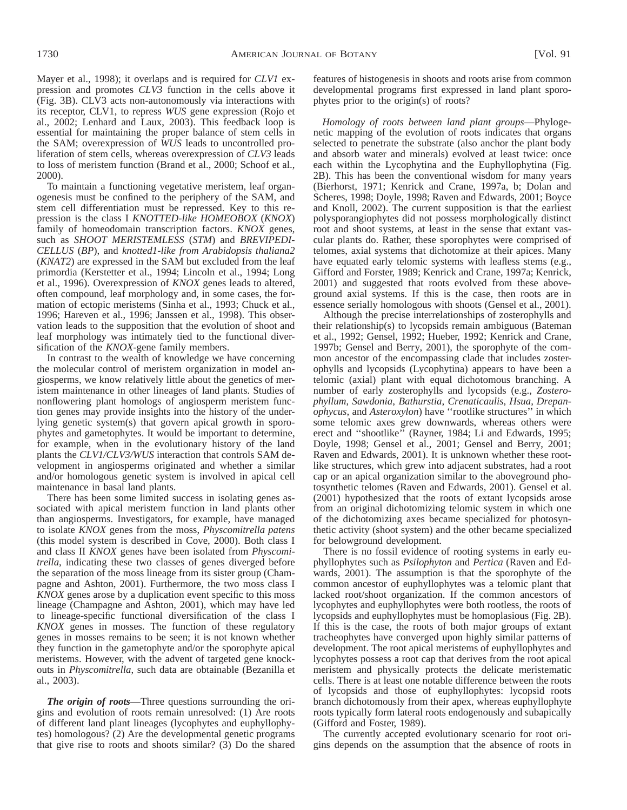Mayer et al., 1998); it overlaps and is required for *CLV1* expression and promotes *CLV3* function in the cells above it (Fig. 3B). CLV3 acts non-autonomously via interactions with its receptor, CLV1, to repress *WUS* gene expression (Rojo et al., 2002; Lenhard and Laux, 2003). This feedback loop is essential for maintaining the proper balance of stem cells in the SAM; overexpression of *WUS* leads to uncontrolled proliferation of stem cells, whereas overexpression of *CLV3* leads to loss of meristem function (Brand et al., 2000; Schoof et al., 2000).

To maintain a functioning vegetative meristem, leaf organogenesis must be confined to the periphery of the SAM, and stem cell differentiation must be repressed. Key to this repression is the class I *KNOTTED-like HOMEOBOX* (*KNOX*) family of homeodomain transcription factors. *KNOX* genes, such as *SHOOT MERISTEMLESS* (*STM*) and *BREVIPEDI-CELLUS* (*BP*), and *knotted1-like from Arabidopsis thaliana2* (*KNAT2*) are expressed in the SAM but excluded from the leaf primordia (Kerstetter et al., 1994; Lincoln et al., 1994; Long et al., 1996). Overexpression of *KNOX* genes leads to altered, often compound, leaf morphology and, in some cases, the formation of ectopic meristems (Sinha et al., 1993; Chuck et al., 1996; Hareven et al., 1996; Janssen et al., 1998). This observation leads to the supposition that the evolution of shoot and leaf morphology was intimately tied to the functional diversification of the *KNOX*-gene family members.

In contrast to the wealth of knowledge we have concerning the molecular control of meristem organization in model angiosperms, we know relatively little about the genetics of meristem maintenance in other lineages of land plants. Studies of nonflowering plant homologs of angiosperm meristem function genes may provide insights into the history of the underlying genetic system(s) that govern apical growth in sporophytes and gametophytes. It would be important to determine, for example, when in the evolutionary history of the land plants the *CLV1/CLV3/WUS* interaction that controls SAM development in angiosperms originated and whether a similar and/or homologous genetic system is involved in apical cell maintenance in basal land plants.

There has been some limited success in isolating genes associated with apical meristem function in land plants other than angiosperms. Investigators, for example, have managed to isolate *KNOX* genes from the moss, *Physcomitrella patens* (this model system is described in Cove, 2000). Both class I and class II *KNOX* genes have been isolated from *Physcomitrella*, indicating these two classes of genes diverged before the separation of the moss lineage from its sister group (Champagne and Ashton, 2001). Furthermore, the two moss class I *KNOX* genes arose by a duplication event specific to this moss lineage (Champagne and Ashton, 2001), which may have led to lineage-specific functional diversification of the class I *KNOX* genes in mosses. The function of these regulatory genes in mosses remains to be seen; it is not known whether they function in the gametophyte and/or the sporophyte apical meristems. However, with the advent of targeted gene knockouts in *Physcomitrella*, such data are obtainable (Bezanilla et al., 2003).

*The origin of roots*—Three questions surrounding the origins and evolution of roots remain unresolved: (1) Are roots of different land plant lineages (lycophytes and euphyllophytes) homologous? (2) Are the developmental genetic programs that give rise to roots and shoots similar? (3) Do the shared

features of histogenesis in shoots and roots arise from common developmental programs first expressed in land plant sporophytes prior to the origin(s) of roots?

*Homology of roots between land plant groups*—Phylogenetic mapping of the evolution of roots indicates that organs selected to penetrate the substrate (also anchor the plant body and absorb water and minerals) evolved at least twice: once each within the Lycophytina and the Euphyllophytina (Fig. 2B). This has been the conventional wisdom for many years (Bierhorst, 1971; Kenrick and Crane, 1997a, b; Dolan and Scheres, 1998; Doyle, 1998; Raven and Edwards, 2001; Boyce and Knoll, 2002). The current supposition is that the earliest polysporangiophytes did not possess morphologically distinct root and shoot systems, at least in the sense that extant vascular plants do. Rather, these sporophytes were comprised of telomes, axial systems that dichotomize at their apices. Many have equated early telomic systems with leafless stems (e.g., Gifford and Forster, 1989; Kenrick and Crane, 1997a; Kenrick, 2001) and suggested that roots evolved from these aboveground axial systems. If this is the case, then roots are in essence serially homologous with shoots (Gensel et al., 2001).

Although the precise interrelationships of zosterophylls and their relationship(s) to lycopsids remain ambiguous (Bateman et al., 1992; Gensel, 1992; Hueber, 1992; Kenrick and Crane, 1997b; Gensel and Berry, 2001), the sporophyte of the common ancestor of the encompassing clade that includes zosterophylls and lycopsids (Lycophytina) appears to have been a telomic (axial) plant with equal dichotomous branching. A number of early zosterophylls and lycopsids (e.g., *Zosterophyllum*, *Sawdonia*, *Bathurstia*, *Crenaticaulis*, *Hsua*, *Drepanophycus*, and *Asteroxylon*) have ''rootlike structures'' in which some telomic axes grew downwards, whereas others were erect and "shootlike" (Rayner, 1984; Li and Edwards, 1995; Doyle, 1998; Gensel et al., 2001; Gensel and Berry, 2001; Raven and Edwards, 2001). It is unknown whether these rootlike structures, which grew into adjacent substrates, had a root cap or an apical organization similar to the aboveground photosynthetic telomes (Raven and Edwards, 2001). Gensel et al. (2001) hypothesized that the roots of extant lycopsids arose from an original dichotomizing telomic system in which one of the dichotomizing axes became specialized for photosynthetic activity (shoot system) and the other became specialized for belowground development.

There is no fossil evidence of rooting systems in early euphyllophytes such as *Psilophyton* and *Pertica* (Raven and Edwards, 2001). The assumption is that the sporophyte of the common ancestor of euphyllophytes was a telomic plant that lacked root/shoot organization. If the common ancestors of lycophytes and euphyllophytes were both rootless, the roots of lycopsids and euphyllophytes must be homoplasious (Fig. 2B). If this is the case, the roots of both major groups of extant tracheophytes have converged upon highly similar patterns of development. The root apical meristems of euphyllophytes and lycophytes possess a root cap that derives from the root apical meristem and physically protects the delicate meristematic cells. There is at least one notable difference between the roots of lycopsids and those of euphyllophytes: lycopsid roots branch dichotomously from their apex, whereas euphyllophyte roots typically form lateral roots endogenously and subapically (Gifford and Foster, 1989).

The currently accepted evolutionary scenario for root origins depends on the assumption that the absence of roots in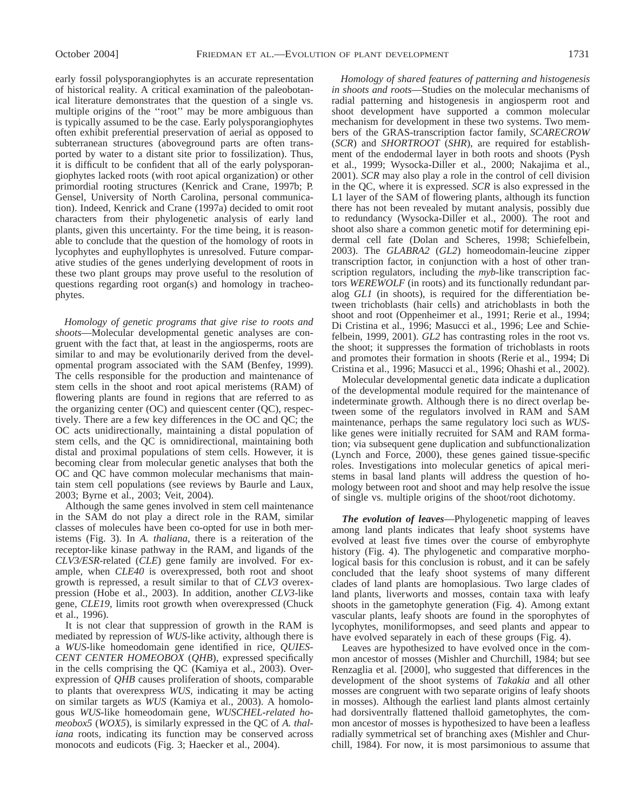early fossil polysporangiophytes is an accurate representation of historical reality. A critical examination of the paleobotanical literature demonstrates that the question of a single vs. multiple origins of the "root" may be more ambiguous than is typically assumed to be the case. Early polysporangiophytes often exhibit preferential preservation of aerial as opposed to subterranean structures (aboveground parts are often transported by water to a distant site prior to fossilization). Thus, it is difficult to be confident that all of the early polysporangiophytes lacked roots (with root apical organization) or other primordial rooting structures (Kenrick and Crane, 1997b; P. Gensel, University of North Carolina, personal communication). Indeed, Kenrick and Crane (1997a) decided to omit root characters from their phylogenetic analysis of early land plants, given this uncertainty. For the time being, it is reasonable to conclude that the question of the homology of roots in lycophytes and euphyllophytes is unresolved. Future comparative studies of the genes underlying development of roots in these two plant groups may prove useful to the resolution of questions regarding root organ(s) and homology in tracheophytes.

*Homology of genetic programs that give rise to roots and shoots*—Molecular developmental genetic analyses are congruent with the fact that, at least in the angiosperms, roots are similar to and may be evolutionarily derived from the developmental program associated with the SAM (Benfey, 1999). The cells responsible for the production and maintenance of stem cells in the shoot and root apical meristems (RAM) of flowering plants are found in regions that are referred to as the organizing center (OC) and quiescent center (QC), respectively. There are a few key differences in the OC and QC; the OC acts unidirectionally, maintaining a distal population of stem cells, and the QC is omnidirectional, maintaining both distal and proximal populations of stem cells. However, it is becoming clear from molecular genetic analyses that both the OC and QC have common molecular mechanisms that maintain stem cell populations (see reviews by Baurle and Laux, 2003; Byrne et al., 2003; Veit, 2004).

Although the same genes involved in stem cell maintenance in the SAM do not play a direct role in the RAM, similar classes of molecules have been co-opted for use in both meristems (Fig. 3). In *A. thaliana*, there is a reiteration of the receptor-like kinase pathway in the RAM, and ligands of the *CLV3/ESR*-related (*CLE*) gene family are involved. For example, when *CLE40* is overexpressed, both root and shoot growth is repressed, a result similar to that of *CLV3* overexpression (Hobe et al., 2003). In addition, another *CLV3*-like gene, *CLE19,* limits root growth when overexpressed (Chuck et al., 1996).

It is not clear that suppression of growth in the RAM is mediated by repression of *WUS*-like activity, although there is a *WUS*-like homeodomain gene identified in rice, *QUIES-CENT CENTER HOMEOBOX* (*QHB*), expressed specifically in the cells comprising the QC (Kamiya et al., 2003). Overexpression of *QHB* causes proliferation of shoots, comparable to plants that overexpress *WUS,* indicating it may be acting on similar targets as *WUS* (Kamiya et al., 2003). A homologous *WUS*-like homeodomain gene, *WUSCHEL-related homeobox5* (*WOX5*), is similarly expressed in the QC of *A. thaliana* roots, indicating its function may be conserved across monocots and eudicots (Fig. 3; Haecker et al., 2004).

*Homology of shared features of patterning and histogenesis in shoots and roots*—Studies on the molecular mechanisms of radial patterning and histogenesis in angiosperm root and shoot development have supported a common molecular mechanism for development in these two systems. Two members of the GRAS-transcription factor family, *SCARECROW* (*SCR*) and *SHORTROOT* (*SHR*), are required for establishment of the endodermal layer in both roots and shoots (Pysh et al., 1999; Wysocka-Diller et al., 2000; Nakajima et al., 2001). *SCR* may also play a role in the control of cell division in the QC, where it is expressed. *SCR* is also expressed in the L1 layer of the SAM of flowering plants, although its function there has not been revealed by mutant analysis, possibly due to redundancy (Wysocka-Diller et al., 2000). The root and shoot also share a common genetic motif for determining epidermal cell fate (Dolan and Scheres, 1998; Schiefelbein, 2003). The *GLABRA2* (*GL2*) homeodomain-leucine zipper transcription factor, in conjunction with a host of other transcription regulators, including the *myb-*like transcription factors *WEREWOLF* (in roots) and its functionally redundant paralog *GL1* (in shoots), is required for the differentiation between trichoblasts (hair cells) and atrichoblasts in both the shoot and root (Oppenheimer et al., 1991; Rerie et al., 1994; Di Cristina et al., 1996; Masucci et al., 1996; Lee and Schiefelbein, 1999, 2001). *GL2* has contrasting roles in the root vs. the shoot; it suppresses the formation of trichoblasts in roots and promotes their formation in shoots (Rerie et al., 1994; Di Cristina et al., 1996; Masucci et al., 1996; Ohashi et al., 2002).

Molecular developmental genetic data indicate a duplication of the developmental module required for the maintenance of indeterminate growth. Although there is no direct overlap between some of the regulators involved in RAM and SAM maintenance, perhaps the same regulatory loci such as *WUS*like genes were initially recruited for SAM and RAM formation; via subsequent gene duplication and subfunctionalization (Lynch and Force, 2000), these genes gained tissue-specific roles. Investigations into molecular genetics of apical meristems in basal land plants will address the question of homology between root and shoot and may help resolve the issue of single vs. multiple origins of the shoot/root dichotomy.

*The evolution of leaves*—Phylogenetic mapping of leaves among land plants indicates that leafy shoot systems have evolved at least five times over the course of embyrophyte history (Fig. 4). The phylogenetic and comparative morphological basis for this conclusion is robust, and it can be safely concluded that the leafy shoot systems of many different clades of land plants are homoplasious. Two large clades of land plants, liverworts and mosses, contain taxa with leafy shoots in the gametophyte generation (Fig. 4). Among extant vascular plants, leafy shoots are found in the sporophytes of lycophytes, moniliformopses, and seed plants and appear to have evolved separately in each of these groups (Fig. 4).

Leaves are hypothesized to have evolved once in the common ancestor of mosses (Mishler and Churchill, 1984; but see Renzaglia et al. [2000], who suggested that differences in the development of the shoot systems of *Takakia* and all other mosses are congruent with two separate origins of leafy shoots in mosses). Although the earliest land plants almost certainly had dorsiventrally flattened thalloid gametophytes, the common ancestor of mosses is hypothesized to have been a leafless radially symmetrical set of branching axes (Mishler and Churchill, 1984). For now, it is most parsimonious to assume that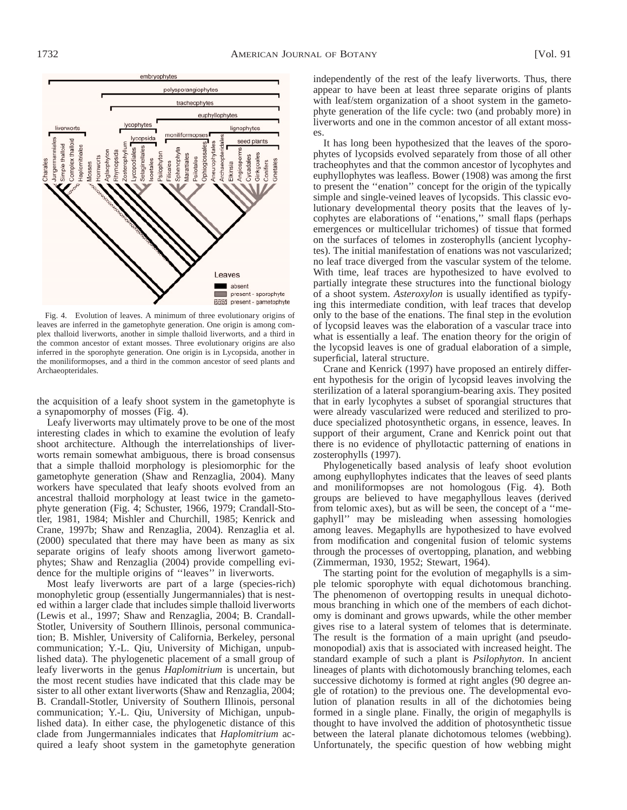

Fig. 4. Evolution of leaves. A minimum of three evolutionary origins of leaves are inferred in the gametophyte generation. One origin is among complex thalloid liverworts, another in simple thalloid liverworts, and a third in the common ancestor of extant mosses. Three evolutionary origins are also inferred in the sporophyte generation. One origin is in Lycopsida, another in the moniliformopses, and a third in the common ancestor of seed plants and Archaeopteridales.

the acquisition of a leafy shoot system in the gametophyte is a synapomorphy of mosses (Fig. 4).

Leafy liverworts may ultimately prove to be one of the most interesting clades in which to examine the evolution of leafy shoot architecture. Although the interrelationships of liverworts remain somewhat ambiguous, there is broad consensus that a simple thalloid morphology is plesiomorphic for the gametophyte generation (Shaw and Renzaglia, 2004). Many workers have speculated that leafy shoots evolved from an ancestral thalloid morphology at least twice in the gametophyte generation (Fig. 4; Schuster, 1966, 1979; Crandall-Stotler, 1981, 1984; Mishler and Churchill, 1985; Kenrick and Crane, 1997b; Shaw and Renzaglia, 2004). Renzaglia et al. (2000) speculated that there may have been as many as six separate origins of leafy shoots among liverwort gametophytes; Shaw and Renzaglia (2004) provide compelling evidence for the multiple origins of ''leaves'' in liverworts.

Most leafy liverworts are part of a large (species-rich) monophyletic group (essentially Jungermanniales) that is nested within a larger clade that includes simple thalloid liverworts (Lewis et al., 1997; Shaw and Renzaglia, 2004; B. Crandall-Stotler, University of Southern Illinois, personal communication; B. Mishler, University of California, Berkeley, personal communication; Y.-L. Qiu, University of Michigan, unpublished data). The phylogenetic placement of a small group of leafy liverworts in the genus *Haplomitrium* is uncertain, but the most recent studies have indicated that this clade may be sister to all other extant liverworts (Shaw and Renzaglia, 2004; B. Crandall-Stotler, University of Southern Illinois, personal communication; Y.-L. Qiu, University of Michigan, unpublished data). In either case, the phylogenetic distance of this clade from Jungermanniales indicates that *Haplomitrium* acquired a leafy shoot system in the gametophyte generation

independently of the rest of the leafy liverworts. Thus, there appear to have been at least three separate origins of plants with leaf/stem organization of a shoot system in the gametophyte generation of the life cycle: two (and probably more) in liverworts and one in the common ancestor of all extant mosses.

It has long been hypothesized that the leaves of the sporophytes of lycopsids evolved separately from those of all other tracheophytes and that the common ancestor of lycophytes and euphyllophytes was leafless. Bower (1908) was among the first to present the ''enation'' concept for the origin of the typically simple and single-veined leaves of lycopsids. This classic evolutionary developmental theory posits that the leaves of lycophytes are elaborations of ''enations,'' small flaps (perhaps emergences or multicellular trichomes) of tissue that formed on the surfaces of telomes in zosterophylls (ancient lycophytes). The initial manifestation of enations was not vascularized; no leaf trace diverged from the vascular system of the telome. With time, leaf traces are hypothesized to have evolved to partially integrate these structures into the functional biology of a shoot system. *Asteroxylon* is usually identified as typifying this intermediate condition, with leaf traces that develop only to the base of the enations. The final step in the evolution of lycopsid leaves was the elaboration of a vascular trace into what is essentially a leaf. The enation theory for the origin of the lycopsid leaves is one of gradual elaboration of a simple, superficial, lateral structure.

Crane and Kenrick (1997) have proposed an entirely different hypothesis for the origin of lycopsid leaves involving the sterilization of a lateral sporangium-bearing axis. They posited that in early lycophytes a subset of sporangial structures that were already vascularized were reduced and sterilized to produce specialized photosynthetic organs, in essence, leaves. In support of their argument, Crane and Kenrick point out that there is no evidence of phyllotactic patterning of enations in zosterophylls (1997).

Phylogenetically based analysis of leafy shoot evolution among euphyllophytes indicates that the leaves of seed plants and moniliformopses are not homologous (Fig. 4). Both groups are believed to have megaphyllous leaves (derived from telomic axes), but as will be seen, the concept of a ''megaphyll'' may be misleading when assessing homologies among leaves. Megaphylls are hypothesized to have evolved from modification and congenital fusion of telomic systems through the processes of overtopping, planation, and webbing (Zimmerman, 1930, 1952; Stewart, 1964).

The starting point for the evolution of megaphylls is a simple telomic sporophyte with equal dichotomous branching. The phenomenon of overtopping results in unequal dichotomous branching in which one of the members of each dichotomy is dominant and grows upwards, while the other member gives rise to a lateral system of telomes that is determinate. The result is the formation of a main upright (and pseudomonopodial) axis that is associated with increased height. The standard example of such a plant is *Psilophyton*. In ancient lineages of plants with dichotomously branching telomes, each successive dichotomy is formed at right angles (90 degree angle of rotation) to the previous one. The developmental evolution of planation results in all of the dichotomies being formed in a single plane. Finally, the origin of megaphylls is thought to have involved the addition of photosynthetic tissue between the lateral planate dichotomous telomes (webbing). Unfortunately, the specific question of how webbing might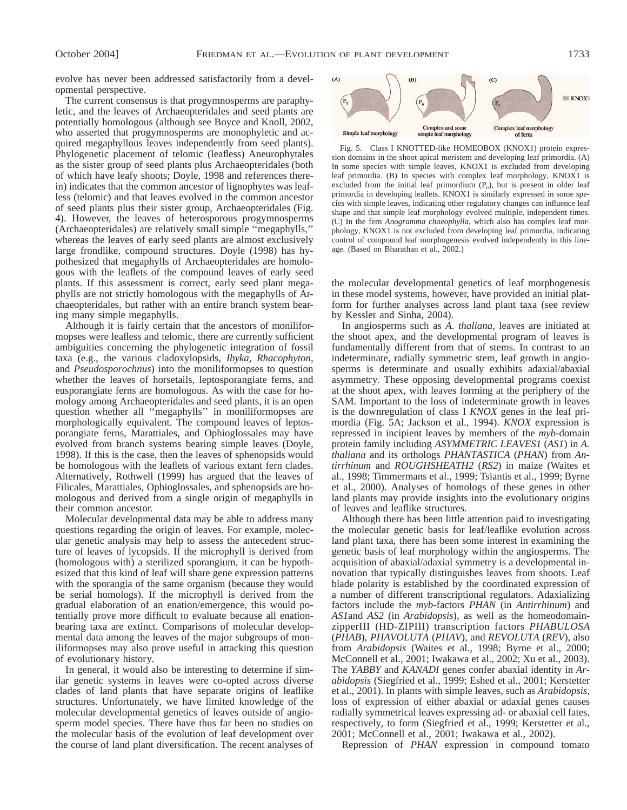evolve has never been addressed satisfactorily from a developmental perspective.

The current consensus is that progymnosperms are paraphyletic, and the leaves of Archaeopteridales and seed plants are potentially homologous (although see Boyce and Knoll, 2002, who asserted that progymnosperms are monophyletic and acquired megaphyllous leaves independently from seed plants). Phylogenetic placement of telomic (leafless) Aneurophytales as the sister group of seed plants plus Archaeopteridales (both of which have leafy shoots; Doyle, 1998 and references therein) indicates that the common ancestor of lignophytes was leafless (telomic) and that leaves evolved in the common ancestor of seed plants plus their sister group, Archaeopteridales (Fig. 4). However, the leaves of heterosporous progymnosperms (Archaeopteridales) are relatively small simple ''megaphylls,'' whereas the leaves of early seed plants are almost exclusively large frondlike, compound structures. Doyle (1998) has hypothesized that megaphylls of Archaeopteridales are homologous with the leaflets of the compound leaves of early seed plants. If this assessment is correct, early seed plant megaphylls are not strictly homologous with the megaphylls of Archaeopteridales, but rather with an entire branch system bearing many simple megaphylls.

Although it is fairly certain that the ancestors of moniliformopses were leafless and telomic, there are currently sufficient ambiguities concerning the phylogenetic integration of fossil taxa (e.g., the various cladoxylopsids, *Ibyka*, *Rhacophyton*, and *Pseudosporochnus*) into the moniliformopses to question whether the leaves of horsetails, leptosporangiate ferns, and eusporangiate ferns are homologous. As with the case for homology among Archaeopteridales and seed plants, it is an open question whether all ''megaphylls'' in moniliformopses are morphologically equivalent. The compound leaves of leptosporangiate ferns, Marattiales, and Ophioglossales may have evolved from branch systems bearing simple leaves (Doyle, 1998). If this is the case, then the leaves of sphenopsids would be homologous with the leaflets of various extant fern clades. Alternatively, Rothwell (1999) has argued that the leaves of Filicales, Marattiales, Ophioglossales, and sphenopsids are homologous and derived from a single origin of megaphylls in their common ancestor.

Molecular developmental data may be able to address many questions regarding the origin of leaves. For example, molecular genetic analysis may help to assess the antecedent structure of leaves of lycopsids. If the microphyll is derived from (homologous with) a sterilized sporangium, it can be hypothesized that this kind of leaf will share gene expression patterns with the sporangia of the same organism (because they would be serial homologs). If the microphyll is derived from the gradual elaboration of an enation/emergence, this would potentially prove more difficult to evaluate because all enationbearing taxa are extinct. Comparisons of molecular developmental data among the leaves of the major subgroups of moniliformopses may also prove useful in attacking this question of evolutionary history.

In general, it would also be interesting to determine if similar genetic systems in leaves were co-opted across diverse clades of land plants that have separate origins of leaflike structures. Unfortunately, we have limited knowledge of the molecular developmental genetics of leaves outside of angiosperm model species. There have thus far been no studies on the molecular basis of the evolution of leaf development over the course of land plant diversification. The recent analyses of



Fig. 5. Class I KNOTTED-like HOMEOBOX (KNOX1) protein expression domains in the shoot apical meristem and developing leaf primordia. (A) In some species with simple leaves, KNOX1 is excluded from developing leaf primordia. (B) In species with complex leaf morphology, KNOX1 is excluded from the initial leaf primordium  $(P_0)$ , but is present in older leaf primordia in developing leaflets. KNOX1 is similarly expressed in some species with simple leaves, indicating other regulatory changes can influence leaf shape and that simple leaf morphology evolved multiple, independent times. (C) In the fern *Anogramma chaeophylla*, which also has complex leaf morphology, KNOX1 is not excluded from developing leaf primordia, indicating control of compound leaf morphogenesis evolved independently in this lineage. (Based on Bharathan et al., 2002.)

the molecular developmental genetics of leaf morphogenesis in these model systems, however, have provided an initial platform for further analyses across land plant taxa (see review by Kessler and Sinha, 2004).

In angiosperms such as *A. thaliana*, leaves are initiated at the shoot apex, and the developmental program of leaves is fundamentally different from that of stems. In contrast to an indeterminate, radially symmetric stem, leaf growth in angiosperms is determinate and usually exhibits adaxial/abaxial asymmetry. These opposing developmental programs coexist at the shoot apex, with leaves forming at the periphery of the SAM. Important to the loss of indeterminate growth in leaves is the downregulation of class I *KNOX* genes in the leaf primordia (Fig. 5A; Jackson et al., 1994). *KNOX* expression is repressed in incipient leaves by members of the *myb*-domain protein family including *ASYMMETRIC LEAVES1* (*AS1*) in *A. thaliana* and its orthologs *PHANTASTICA* (*PHAN*) from *Antirrhinum* and *ROUGHSHEATH2* (*RS2*) in maize (Waites et al., 1998; Timmermans et al., 1999; Tsiantis et al., 1999; Byrne et al., 2000). Analyses of homologs of these genes in other land plants may provide insights into the evolutionary origins of leaves and leaflike structures.

Although there has been little attention paid to investigating the molecular genetic basis for leaf/leaflike evolution across land plant taxa, there has been some interest in examining the genetic basis of leaf morphology within the angiosperms. The acquisition of abaxial/adaxial symmetry is a developmental innovation that typically distinguishes leaves from shoots. Leaf blade polarity is established by the coordinated expression of a number of different transcriptional regulators. Adaxializing factors include the *myb*-factors *PHAN* (in *Antirrhinum*) and *AS1*and *AS2* (in *Arabidopsis*), as well as the homeodomainzipperIII (HD-ZIPIII) transcription factors *PHABULOSA* (*PHAB*), *PHAVOLUTA* (*PHAV*), and *REVOLUTA* (*REV*), also from *Arabidopsis* (Waites et al., 1998; Byrne et al., 2000; McConnell et al., 2001; Iwakawa et al., 2002; Xu et al., 2003). The *YABBY* and *KANADI* genes confer abaxial identity in *Arabidopsis* (Siegfried et al., 1999; Eshed et al., 2001; Kerstetter et al., 2001). In plants with simple leaves, such as *Arabidopsis*, loss of expression of either abaxial or adaxial genes causes radially symmetrical leaves expressing ad- or abaxial cell fates, respectively, to form (Siegfried et al., 1999; Kerstetter et al., 2001; McConnell et al., 2001; Iwakawa et al., 2002).

Repression of *PHAN* expression in compound tomato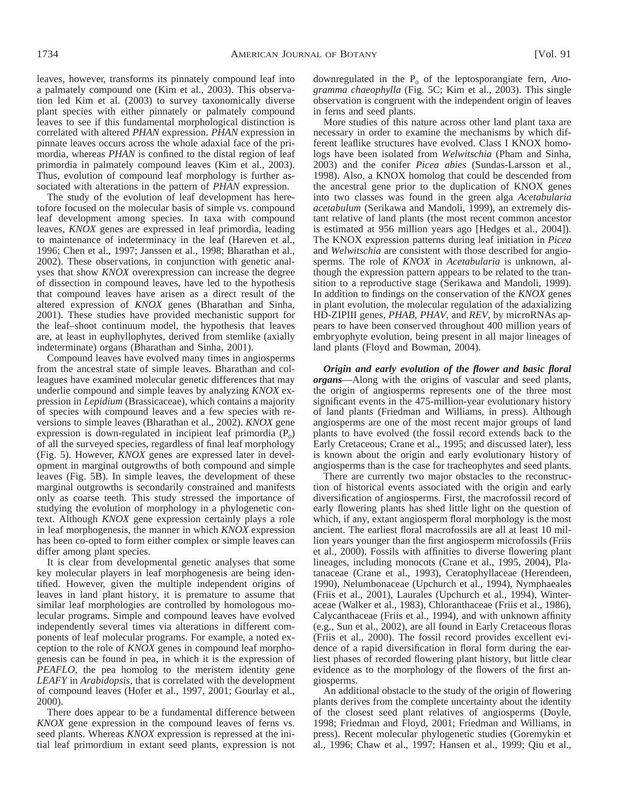leaves, however, transforms its pinnately compound leaf into a palmately compound one (Kim et al., 2003). This observation led Kim et al. (2003) to survey taxonomically diverse plant species with either pinnately or palmately compound leaves to see if this fundamental morphological distinction is correlated with altered *PHAN* expression. *PHAN* expression in pinnate leaves occurs across the whole adaxial face of the primordia, whereas *PHAN* is confined to the distal region of leaf primordia in palmately compound leaves (Kim et al., 2003). Thus, evolution of compound leaf morphology is further associated with alterations in the pattern of *PHAN* expression.

The study of the evolution of leaf development has heretofore focused on the molecular basis of simple vs. compound leaf development among species. In taxa with compound leaves, *KNOX* genes are expressed in leaf primordia, leading to maintenance of indeterminacy in the leaf (Hareven et al., 1996; Chen et al., 1997; Janssen et al., 1998; Bharathan et al., 2002). These observations, in conjunction with genetic analyses that show *KNOX* overexpression can increase the degree of dissection in compound leaves, have led to the hypothesis that compound leaves have arisen as a direct result of the altered expression of *KNOX* genes (Bharathan and Sinha, 2001). These studies have provided mechanistic support for the leaf–shoot continuum model, the hypothesis that leaves are, at least in euphyllophytes, derived from stemlike (axially indeterminate) organs (Bharathan and Sinha, 2001).

Compound leaves have evolved many times in angiosperms from the ancestral state of simple leaves. Bharathan and colleagues have examined molecular genetic differences that may underlie compound and simple leaves by analyzing *KNOX* expression in *Lepidium* (Brassicaceae), which contains a majority of species with compound leaves and a few species with reversions to simple leaves (Bharathan et al., 2002). *KNOX* gene expression is down-regulated in incipient leaf primordia  $(P_0)$ of all the surveyed species, regardless of final leaf morphology (Fig. 5). However, *KNOX* genes are expressed later in development in marginal outgrowths of both compound and simple leaves (Fig. 5B). In simple leaves, the development of these marginal outgrowths is secondarily constrained and manifests only as coarse teeth. This study stressed the importance of studying the evolution of morphology in a phylogenetic context. Although *KNOX* gene expression certainly plays a role in leaf morphogenesis, the manner in which *KNOX* expression has been co-opted to form either complex or simple leaves can differ among plant species.

It is clear from developmental genetic analyses that some key molecular players in leaf morphogenesis are being identified. However, given the multiple independent origins of leaves in land plant history, it is premature to assume that similar leaf morphologies are controlled by homologous molecular programs. Simple and compound leaves have evolved independently several times via alterations in different components of leaf molecular programs. For example, a noted exception to the role of *KNOX* genes in compound leaf morphogenesis can be found in pea, in which it is the expression of *PEAFLO*, the pea homolog to the meristem identity gene *LEAFY* in *Arabidopsis*, that is correlated with the development of compound leaves (Hofer et al., 1997, 2001; Gourlay et al., 2000).

There does appear to be a fundamental difference between *KNOX* gene expression in the compound leaves of ferns vs. seed plants. Whereas *KNOX* expression is repressed at the initial leaf primordium in extant seed plants, expression is not

downregulated in the P<sub>0</sub> of the leptosporangiate fern, *Anogramma chaeophylla* (Fig. 5C; Kim et al., 2003). This single observation is congruent with the independent origin of leaves in ferns and seed plants.

More studies of this nature across other land plant taxa are necessary in order to examine the mechanisms by which different leaflike structures have evolved. Class I KNOX homologs have been isolated from *Welwitschia* (Pham and Sinha, 2003) and the conifer *Picea abies* (Sundas-Larsson et al., 1998). Also, a KNOX homolog that could be descended from the ancestral gene prior to the duplication of KNOX genes into two classes was found in the green alga *Acetabularia acetabulum* (Serikawa and Mandoli, 1999), an extremely distant relative of land plants (the most recent common ancestor is estimated at 956 million years ago [Hedges et al., 2004]). The KNOX expression patterns during leaf initiation in *Picea* and *Welwitschia* are consistent with those described for angiosperms. The role of *KNOX* in *Acetabularia* is unknown, although the expression pattern appears to be related to the transition to a reproductive stage (Serikawa and Mandoli, 1999). In addition to findings on the conservation of the *KNOX* genes in plant evolution, the molecular regulation of the adaxializing HD-ZIPIII genes, *PHAB, PHAV,* and *REV,* by microRNAs appears to have been conserved throughout 400 million years of embryophyte evolution, being present in all major lineages of land plants (Floyd and Bowman, 2004).

*Origin and early evolution of the flower and basic floral organs*—Along with the origins of vascular and seed plants, the origin of angiosperms represents one of the three most significant events in the 475-million-year evolutionary history of land plants (Friedman and Williams, in press). Although angiosperms are one of the most recent major groups of land plants to have evolved (the fossil record extends back to the Early Cretaceous; Crane et al., 1995; and discussed later), less is known about the origin and early evolutionary history of angiosperms than is the case for tracheophytes and seed plants.

There are currently two major obstacles to the reconstruction of historical events associated with the origin and early diversification of angiosperms. First, the macrofossil record of early flowering plants has shed little light on the question of which, if any, extant angiosperm floral morphology is the most ancient. The earliest floral macrofossils are all at least 10 million years younger than the first angiosperm microfossils (Friis et al., 2000). Fossils with affinities to diverse flowering plant lineages, including monocots (Crane et al., 1995, 2004), Platanaceae (Crane et al., 1993), Ceratophyllaceae (Herendeen, 1990), Nelumbonaceae (Upchurch et al., 1994), Nymphaeales (Friis et al., 2001), Laurales (Upchurch et al., 1994), Winteraceae (Walker et al., 1983), Chloranthaceae (Friis et al., 1986), Calycanthaceae (Friis et al., 1994), and with unknown affinity (e.g., Sun et al., 2002), are all found in Early Cretaceous floras (Friis et al., 2000). The fossil record provides excellent evidence of a rapid diversification in floral form during the earliest phases of recorded flowering plant history, but little clear evidence as to the morphology of the flowers of the first angiosperms.

An additional obstacle to the study of the origin of flowering plants derives from the complete uncertainty about the identity of the closest seed plant relatives of angiosperms (Doyle, 1998; Friedman and Floyd, 2001; Friedman and Williams, in press). Recent molecular phylogenetic studies (Goremykin et al., 1996; Chaw et al., 1997; Hansen et al., 1999; Qiu et al.,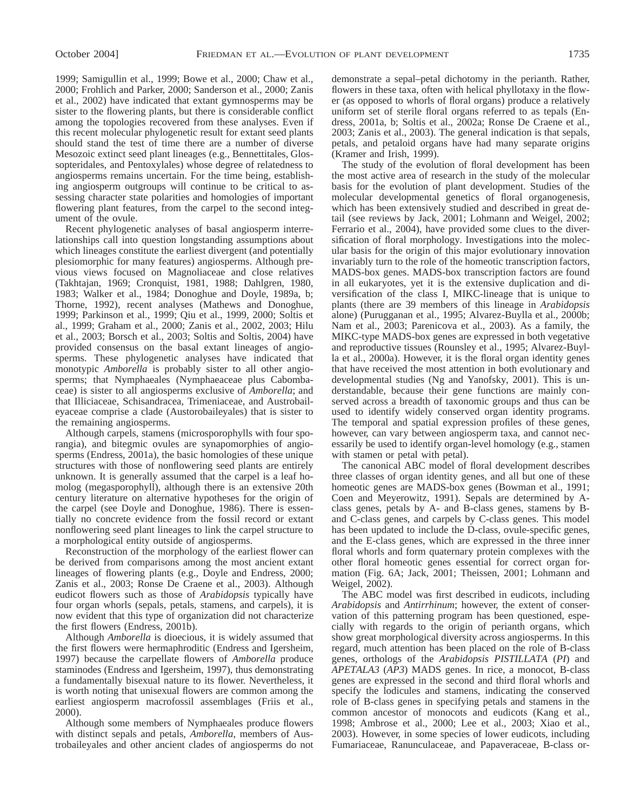1999; Samigullin et al., 1999; Bowe et al., 2000; Chaw et al., 2000; Frohlich and Parker, 2000; Sanderson et al., 2000; Zanis et al., 2002) have indicated that extant gymnosperms may be sister to the flowering plants, but there is considerable conflict among the topologies recovered from these analyses. Even if this recent molecular phylogenetic result for extant seed plants should stand the test of time there are a number of diverse Mesozoic extinct seed plant lineages (e.g., Bennettitales, Glossopteridales, and Pentoxylales) whose degree of relatedness to angiosperms remains uncertain. For the time being, establishing angiosperm outgroups will continue to be critical to assessing character state polarities and homologies of important flowering plant features, from the carpel to the second integument of the ovule.

Recent phylogenetic analyses of basal angiosperm interrelationships call into question longstanding assumptions about which lineages constitute the earliest divergent (and potentially plesiomorphic for many features) angiosperms. Although previous views focused on Magnoliaceae and close relatives (Takhtajan, 1969; Cronquist, 1981, 1988; Dahlgren, 1980, 1983; Walker et al., 1984; Donoghue and Doyle, 1989a, b; Thorne, 1992), recent analyses (Mathews and Donoghue, 1999; Parkinson et al., 1999; Qiu et al., 1999, 2000; Soltis et al., 1999; Graham et al., 2000; Zanis et al., 2002, 2003; Hilu et al., 2003; Borsch et al., 2003; Soltis and Soltis, 2004) have provided consensus on the basal extant lineages of angiosperms. These phylogenetic analyses have indicated that monotypic *Amborella* is probably sister to all other angiosperms; that Nymphaeales (Nymphaeaceae plus Cabombaceae) is sister to all angiosperms exclusive of *Amborella*; and that Illiciaceae, Schisandracea, Trimeniaceae, and Austrobaileyaceae comprise a clade (Austorobaileyales) that is sister to the remaining angiosperms.

Although carpels, stamens (microsporophylls with four sporangia), and bitegmic ovules are synapomorphies of angiosperms (Endress, 2001a), the basic homologies of these unique structures with those of nonflowering seed plants are entirely unknown. It is generally assumed that the carpel is a leaf homolog (megasporophyll), although there is an extensive 20th century literature on alternative hypotheses for the origin of the carpel (see Doyle and Donoghue, 1986). There is essentially no concrete evidence from the fossil record or extant nonflowering seed plant lineages to link the carpel structure to a morphological entity outside of angiosperms.

Reconstruction of the morphology of the earliest flower can be derived from comparisons among the most ancient extant lineages of flowering plants (e.g., Doyle and Endress, 2000; Zanis et al., 2003; Ronse De Craene et al., 2003). Although eudicot flowers such as those of *Arabidopsis* typically have four organ whorls (sepals, petals, stamens, and carpels), it is now evident that this type of organization did not characterize the first flowers (Endress, 2001b).

Although *Amborella* is dioecious, it is widely assumed that the first flowers were hermaphroditic (Endress and Igersheim, 1997) because the carpellate flowers of *Amborella* produce staminodes (Endress and Igersheim, 1997), thus demonstrating a fundamentally bisexual nature to its flower. Nevertheless, it is worth noting that unisexual flowers are common among the earliest angiosperm macrofossil assemblages (Friis et al., 2000).

Although some members of Nymphaeales produce flowers with distinct sepals and petals, *Amborella*, members of Austrobaileyales and other ancient clades of angiosperms do not

demonstrate a sepal–petal dichotomy in the perianth. Rather, flowers in these taxa, often with helical phyllotaxy in the flower (as opposed to whorls of floral organs) produce a relatively uniform set of sterile floral organs referred to as tepals (Endress, 2001a, b; Soltis et al., 2002a; Ronse De Craene et al., 2003; Zanis et al., 2003). The general indication is that sepals, petals, and petaloid organs have had many separate origins (Kramer and Irish, 1999).

The study of the evolution of floral development has been the most active area of research in the study of the molecular basis for the evolution of plant development. Studies of the molecular developmental genetics of floral organogenesis, which has been extensively studied and described in great detail (see reviews by Jack, 2001; Lohmann and Weigel, 2002; Ferrario et al., 2004), have provided some clues to the diversification of floral morphology. Investigations into the molecular basis for the origin of this major evolutionary innovation invariably turn to the role of the homeotic transcription factors, MADS-box genes. MADS-box transcription factors are found in all eukaryotes, yet it is the extensive duplication and diversification of the class I, MIKC-lineage that is unique to plants (there are 39 members of this lineage in *Arabidopsis* alone) (Purugganan et al., 1995; Alvarez-Buylla et al., 2000b; Nam et al., 2003; Parenicova et al., 2003). As a family, the MIKC-type MADS-box genes are expressed in both vegetative and reproductive tissues (Rounsley et al., 1995; Alvarez-Buylla et al., 2000a). However, it is the floral organ identity genes that have received the most attention in both evolutionary and developmental studies (Ng and Yanofsky, 2001). This is understandable, because their gene functions are mainly conserved across a breadth of taxonomic groups and thus can be used to identify widely conserved organ identity programs. The temporal and spatial expression profiles of these genes, however, can vary between angiosperm taxa, and cannot necessarily be used to identify organ-level homology (e.g., stamen with stamen or petal with petal).

The canonical ABC model of floral development describes three classes of organ identity genes, and all but one of these homeotic genes are MADS-box genes (Bowman et al., 1991; Coen and Meyerowitz, 1991). Sepals are determined by Aclass genes, petals by A- and B-class genes, stamens by Band C-class genes, and carpels by C-class genes. This model has been updated to include the D-class, ovule-specific genes, and the E-class genes, which are expressed in the three inner floral whorls and form quaternary protein complexes with the other floral homeotic genes essential for correct organ formation (Fig. 6A; Jack, 2001; Theissen, 2001; Lohmann and Weigel, 2002).

The ABC model was first described in eudicots, including *Arabidopsis* and *Antirrhinum*; however, the extent of conservation of this patterning program has been questioned, especially with regards to the origin of perianth organs, which show great morphological diversity across angiosperms. In this regard, much attention has been placed on the role of B-class genes, orthologs of the *Arabidopsis PISTILLATA* (*PI*) and *APETALA3* (*AP3*) MADS genes. In rice, a monocot, B-class genes are expressed in the second and third floral whorls and specify the lodicules and stamens, indicating the conserved role of B-class genes in specifying petals and stamens in the common ancestor of monocots and eudicots (Kang et al., 1998; Ambrose et al., 2000; Lee et al., 2003; Xiao et al., 2003). However, in some species of lower eudicots, including Fumariaceae, Ranunculaceae, and Papaveraceae, B-class or-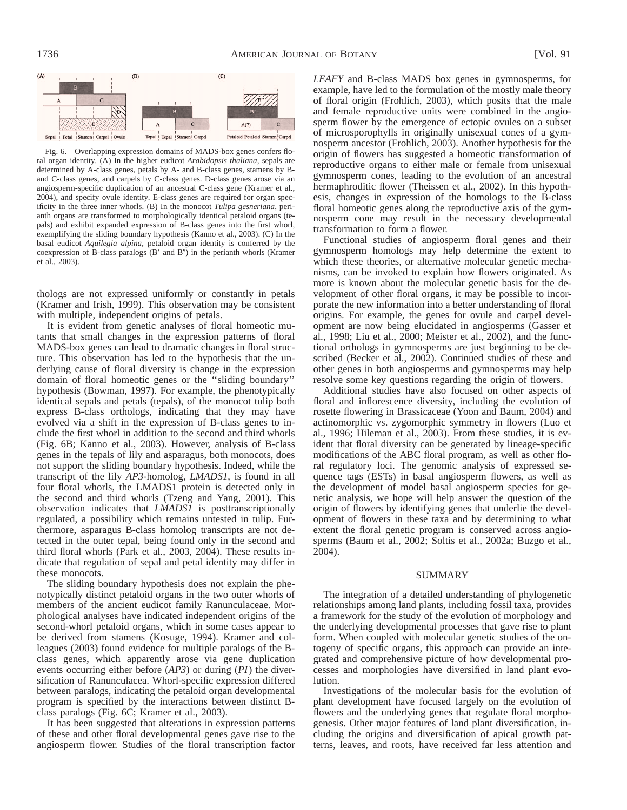

Fig. 6. Overlapping expression domains of MADS-box genes confers floral organ identity. (A) In the higher eudicot *Arabidopsis thaliana*, sepals are determined by A-class genes, petals by A- and B-class genes, stamens by Band C-class genes, and carpels by C-class genes. D-class genes arose via an angiosperm-specific duplication of an ancestral C-class gene (Kramer et al., 2004), and specify ovule identity. E-class genes are required for organ specificity in the three inner whorls. (B) In the monocot *Tulipa gesneriana*, perianth organs are transformed to morphologically identical petaloid organs (tepals) and exhibit expanded expression of B-class genes into the first whorl, exemplifying the sliding boundary hypothesis (Kanno et al., 2003). (C) In the basal eudicot *Aquilegia alpina*, petaloid organ identity is conferred by the coexpression of B-class paralogs  $(B'$  and  $B'$ ) in the perianth whorls (Kramer et al., 2003).

thologs are not expressed uniformly or constantly in petals (Kramer and Irish, 1999). This observation may be consistent with multiple, independent origins of petals.

It is evident from genetic analyses of floral homeotic mutants that small changes in the expression patterns of floral MADS-box genes can lead to dramatic changes in floral structure. This observation has led to the hypothesis that the underlying cause of floral diversity is change in the expression domain of floral homeotic genes or the ''sliding boundary'' hypothesis (Bowman, 1997). For example, the phenotypically identical sepals and petals (tepals), of the monocot tulip both express B-class orthologs, indicating that they may have evolved via a shift in the expression of B-class genes to include the first whorl in addition to the second and third whorls (Fig. 6B; Kanno et al., 2003). However, analysis of B-class genes in the tepals of lily and asparagus, both monocots, does not support the sliding boundary hypothesis. Indeed, while the transcript of the lily *AP3*-homolog, *LMADS1*, is found in all four floral whorls, the LMADS1 protein is detected only in the second and third whorls (Tzeng and Yang, 2001). This observation indicates that *LMADS1* is posttranscriptionally regulated, a possibility which remains untested in tulip. Furthermore, asparagus B-class homolog transcripts are not detected in the outer tepal, being found only in the second and third floral whorls (Park et al., 2003, 2004). These results indicate that regulation of sepal and petal identity may differ in these monocots.

The sliding boundary hypothesis does not explain the phenotypically distinct petaloid organs in the two outer whorls of members of the ancient eudicot family Ranunculaceae. Morphological analyses have indicated independent origins of the second-whorl petaloid organs, which in some cases appear to be derived from stamens (Kosuge, 1994). Kramer and colleagues (2003) found evidence for multiple paralogs of the Bclass genes, which apparently arose via gene duplication events occurring either before (*AP3*) or during (*PI*) the diversification of Ranunculacea. Whorl-specific expression differed between paralogs, indicating the petaloid organ developmental program is specified by the interactions between distinct Bclass paralogs (Fig. 6C; Kramer et al., 2003).

It has been suggested that alterations in expression patterns of these and other floral developmental genes gave rise to the angiosperm flower. Studies of the floral transcription factor *LEAFY* and B-class MADS box genes in gymnosperms, for example, have led to the formulation of the mostly male theory of floral origin (Frohlich, 2003), which posits that the male and female reproductive units were combined in the angiosperm flower by the emergence of ectopic ovules on a subset of microsporophylls in originally unisexual cones of a gymnosperm ancestor (Frohlich, 2003). Another hypothesis for the origin of flowers has suggested a homeotic transformation of reproductive organs to either male or female from unisexual gymnosperm cones, leading to the evolution of an ancestral hermaphroditic flower (Theissen et al., 2002). In this hypothesis, changes in expression of the homologs to the B-class floral homeotic genes along the reproductive axis of the gymnosperm cone may result in the necessary developmental transformation to form a flower.

Functional studies of angiosperm floral genes and their gymnosperm homologs may help determine the extent to which these theories, or alternative molecular genetic mechanisms, can be invoked to explain how flowers originated. As more is known about the molecular genetic basis for the development of other floral organs, it may be possible to incorporate the new information into a better understanding of floral origins. For example, the genes for ovule and carpel development are now being elucidated in angiosperms (Gasser et al., 1998; Liu et al., 2000; Meister et al., 2002), and the functional orthologs in gymnosperms are just beginning to be described (Becker et al., 2002). Continued studies of these and other genes in both angiosperms and gymnosperms may help resolve some key questions regarding the origin of flowers.

Additional studies have also focused on other aspects of floral and inflorescence diversity, including the evolution of rosette flowering in Brassicaceae (Yoon and Baum, 2004) and actinomorphic vs. zygomorphic symmetry in flowers (Luo et al., 1996; Hileman et al., 2003). From these studies, it is evident that floral diversity can be generated by lineage-specific modifications of the ABC floral program, as well as other floral regulatory loci. The genomic analysis of expressed sequence tags (ESTs) in basal angiosperm flowers, as well as the development of model basal angiosperm species for genetic analysis, we hope will help answer the question of the origin of flowers by identifying genes that underlie the development of flowers in these taxa and by determining to what extent the floral genetic program is conserved across angiosperms (Baum et al., 2002; Soltis et al., 2002a; Buzgo et al., 2004).

#### SUMMARY

The integration of a detailed understanding of phylogenetic relationships among land plants, including fossil taxa, provides a framework for the study of the evolution of morphology and the underlying developmental processes that gave rise to plant form. When coupled with molecular genetic studies of the ontogeny of specific organs, this approach can provide an integrated and comprehensive picture of how developmental processes and morphologies have diversified in land plant evolution.

Investigations of the molecular basis for the evolution of plant development have focused largely on the evolution of flowers and the underlying genes that regulate floral morphogenesis. Other major features of land plant diversification, including the origins and diversification of apical growth patterns, leaves, and roots, have received far less attention and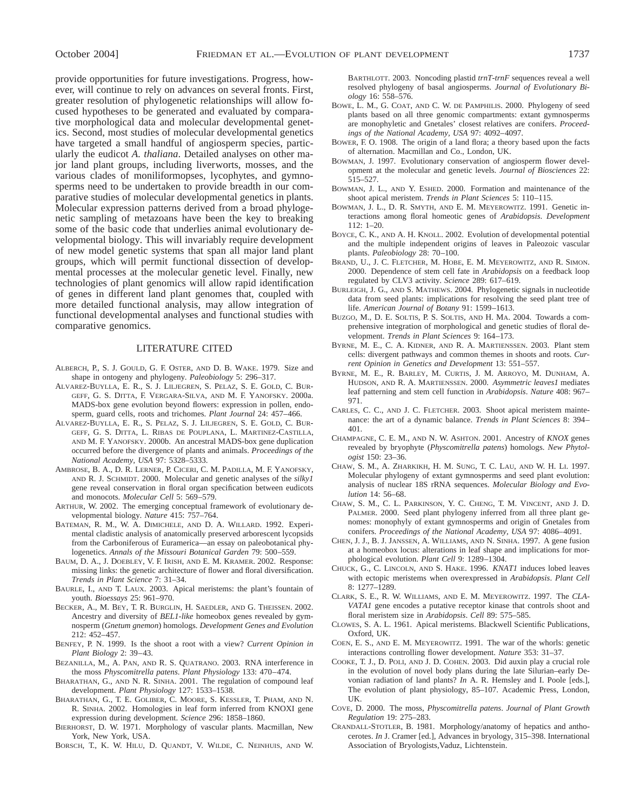provide opportunities for future investigations. Progress, however, will continue to rely on advances on several fronts. First, greater resolution of phylogenetic relationships will allow focused hypotheses to be generated and evaluated by comparative morphological data and molecular developmental genetics. Second, most studies of molecular developmental genetics have targeted a small handful of angiosperm species, particularly the eudicot *A. thaliana*. Detailed analyses on other major land plant groups, including liverworts, mosses, and the various clades of moniliformopses, lycophytes, and gymnosperms need to be undertaken to provide breadth in our comparative studies of molecular developmental genetics in plants. Molecular expression patterns derived from a broad phylogenetic sampling of metazoans have been the key to breaking some of the basic code that underlies animal evolutionary developmental biology. This will invariably require development of new model genetic systems that span all major land plant groups, which will permit functional dissection of developmental processes at the molecular genetic level. Finally, new technologies of plant genomics will allow rapid identification of genes in different land plant genomes that, coupled with more detailed functional analysis, may allow integration of functional developmental analyses and functional studies with comparative genomics.

### LITERATURE CITED

- ALBERCH, P., S. J. GOULD, G. F. OSTER, AND D. B. WAKE. 1979. Size and shape in ontogeny and phylogeny. *Paleobiology* 5: 296–317.
- ALVAREZ-BUYLLA, E. R., S. J. LILJEGREN, S. PELAZ, S. E. GOLD, C. BUR-GEFF, G. S. DITTA, F. VERGARA-SILVA, AND M. F. YANOFSKY. 2000a. MADS-box gene evolution beyond flowers: expression in pollen, endosperm, guard cells, roots and trichomes. *Plant Journal* 24: 457–466.
- ALVAREZ-BUYLLA, E. R., S. PELAZ, S. J. LILJEGREN, S. E. GOLD, C. BUR-GEFF, G. S. DITTA, L. RIBAS DE POUPLANA, L. MARTINEZ-CASTILLA, AND M. F. YANOFSKY. 2000b. An ancestral MADS-box gene duplication occurred before the divergence of plants and animals. *Proceedings of the National Academy, USA* 97: 5328–5333.
- AMBROSE, B. A., D. R. LERNER, P. CICERI, C. M. PADILLA, M. F. YANOFSKY, AND R. J. SCHMIDT. 2000. Molecular and genetic analyses of the *silky1* gene reveal conservation in floral organ specification between eudicots and monocots. *Molecular Cell* 5: 569–579.
- ARTHUR, W. 2002. The emerging conceptual framework of evolutionary developmental biology. *Nature* 415: 757–764.
- BATEMAN, R. M., W. A. DIMICHELE, AND D. A. WILLARD. 1992. Experimental cladistic analysis of anatomically preserved arborescent lycopsids from the Carboniferous of Euramerica—an essay on paleobotanical phylogenetics. *Annals of the Missouri Botanical Garden* 79: 500–559.
- BAUM, D. A., J. DOEBLEY, V. F. IRISH, AND E. M. KRAMER. 2002. Response: missing links: the genetic architecture of flower and floral diversification. *Trends in Plant Science* 7: 31–34.
- BAURLE, I., AND T. LAUX. 2003. Apical meristems: the plant's fountain of youth. *Bioessays* 25: 961–970.
- BECKER, A., M. BEY, T. R. BURGLIN, H. SAEDLER, AND G. THEISSEN. 2002. Ancestry and diversity of *BEL1-like* homeobox genes revealed by gymnosperm (*Gnetum gnemon*) homologs. *Development Genes and Evolution* 212: 452–457.
- BENFEY, P. N. 1999. Is the shoot a root with a view? *Current Opinion in Plant Biology* 2: 39–43.
- BEZANILLA, M., A. PAN, AND R. S. QUATRANO. 2003. RNA interference in the moss *Physcomitrella patens*. *Plant Physiology* 133: 470–474.
- BHARATHAN, G., AND N. R. SINHA. 2001. The regulation of compound leaf development. *Plant Physiology* 127: 1533–1538.
- BHARATHAN, G., T. E. GOLIBER, C. MOORE, S. KESSLER, T. PHAM, AND N. R. SINHA. 2002. Homologies in leaf form inferred from KNOXI gene expression during development. *Science* 296: 1858–1860.
- BIERHORST, D. W. 1971. Morphology of vascular plants. Macmillan, New York, New York, USA.
- BORSCH, T., K. W. HILU, D. QUANDT, V. WILDE, C. NEINHUIS, AND W.

BARTHLOTT. 2003. Noncoding plastid *trnT-trnF* sequences reveal a well resolved phylogeny of basal angiosperms. *Journal of Evolutionary Biology* 16: 558–576.

- BOWE, L. M., G. COAT, AND C. W. DE PAMPHILIS. 2000. Phylogeny of seed plants based on all three genomic compartments: extant gymnosperms are monophyletic and Gnetales' closest relatives are conifers. *Proceedings of the National Academy, USA* 97: 4092–4097.
- BOWER, F. O. 1908. The origin of a land flora; a theory based upon the facts of alternation. Macmillan and Co., London, UK.
- BOWMAN, J. 1997. Evolutionary conservation of angiosperm flower development at the molecular and genetic levels. *Journal of Biosciences* 22: 515–527.
- BOWMAN, J. L., AND Y. ESHED. 2000. Formation and maintenance of the shoot apical meristem. *Trends in Plant Sciences* 5: 110–115.
- BOWMAN, J. L., D. R. SMYTH, AND E. M. MEYEROWITZ. 1991. Genetic interactions among floral homeotic genes of *Arabidopsis*. *Development* 112: 1–20.
- BOYCE, C. K., AND A. H. KNOLL. 2002. Evolution of developmental potential and the multiple independent origins of leaves in Paleozoic vascular plants. *Paleobiology* 28: 70–100.
- BRAND, U., J. C. FLETCHER, M. HOBE, E. M. MEYEROWITZ, AND R. SIMON. 2000. Dependence of stem cell fate in *Arabidopsis* on a feedback loop regulated by CLV3 activity. *Science* 289: 617–619.
- BURLEIGH, J. G., AND S. MATHEWS. 2004. Phylogenetic signals in nucleotide data from seed plants: implications for resolving the seed plant tree of life. *American Journal of Botany* 91: 1599–1613.
- BUZGO, M., D. E. SOLTIS, P. S. SOLTIS, AND H. MA. 2004. Towards a comprehensive integration of morphological and genetic studies of floral development. *Trends in Plant Sciences* 9: 164–173.
- BYRNE, M. E., C. A. KIDNER, AND R. A. MARTIENSSEN. 2003. Plant stem cells: divergent pathways and common themes in shoots and roots. *Current Opinion in Genetics and Development* 13: 551–557.
- BYRNE, M. E., R. BARLEY, M. CURTIS, J. M. ARROYO, M. DUNHAM, A. HUDSON, AND R. A. MARTIENSSEN. 2000. *Asymmetric leaves1* mediates leaf patterning and stem cell function in *Arabidopsis*. *Nature* 408: 967– 971.
- CARLES, C. C., AND J. C. FLETCHER. 2003. Shoot apical meristem maintenance: the art of a dynamic balance. *Trends in Plant Sciences* 8: 394– 401.
- CHAMPAGNE, C. E. M., AND N. W. ASHTON. 2001. Ancestry of *KNOX* genes revealed by bryophyte (*Physcomitrella patens*) homologs. *New Phytologist* 150: 23–36.
- CHAW, S. M., A. ZHARKIKH, H. M. SUNG, T. C. LAU, AND W. H. LI. 1997. Molecular phylogeny of extant gymnosperms and seed plant evolution: analysis of nuclear 18S rRNA sequences. *Molecular Biology and Evolution* 14: 56–68.
- CHAW, S. M., C. L. PARKINSON, Y. C. CHENG, T. M. VINCENT, AND J. D. PALMER. 2000. Seed plant phylogeny inferred from all three plant genomes: monophyly of extant gymnosperms and origin of Gnetales from conifers. *Proceedings of the National Academy, USA* 97: 4086–4091.
- CHEN, J. J., B. J. JANSSEN, A. WILLIAMS, AND N. SINHA. 1997. A gene fusion at a homeobox locus: alterations in leaf shape and implications for morphological evolution. *Plant Cell* 9: 1289–1304.
- CHUCK, G., C. LINCOLN, AND S. HAKE. 1996. *KNAT1* induces lobed leaves with ectopic meristems when overexpressed in *Arabidopsis*. *Plant Cell* 8: 1277–1289.
- CLARK, S. E., R. W. WILLIAMS, AND E. M. MEYEROWITZ. 1997. The *CLA-VATA1* gene encodes a putative receptor kinase that controls shoot and floral meristem size in *Arabidopsis*. *Cell* 89: 575–585.
- CLOWES, S. A. L. 1961. Apical meristems. Blackwell Scientific Publications, Oxford, UK.
- COEN, E. S., AND E. M. MEYEROWITZ. 1991. The war of the whorls: genetic interactions controlling flower development. *Nature* 353: 31–37.
- COOKE, T. J., D. POLI, AND J. D. COHEN. 2003. Did auxin play a crucial role in the evolution of novel body plans during the late Silurian–early Devonian radiation of land plants? *In* A. R. Hemsley and I. Poole [eds.], The evolution of plant physiology, 85–107. Academic Press, London, UK.
- COVE, D. 2000. The moss, *Physcomitrella patens*. *Journal of Plant Growth Regulation* 19: 275–283.
- CRANDALL-STOTLER, B. 1981. Morphology/anatomy of hepatics and anthocerotes. *In* J. Cramer [ed.], Advances in bryology, 315–398. International Association of Bryologists,Vaduz, Lichtenstein.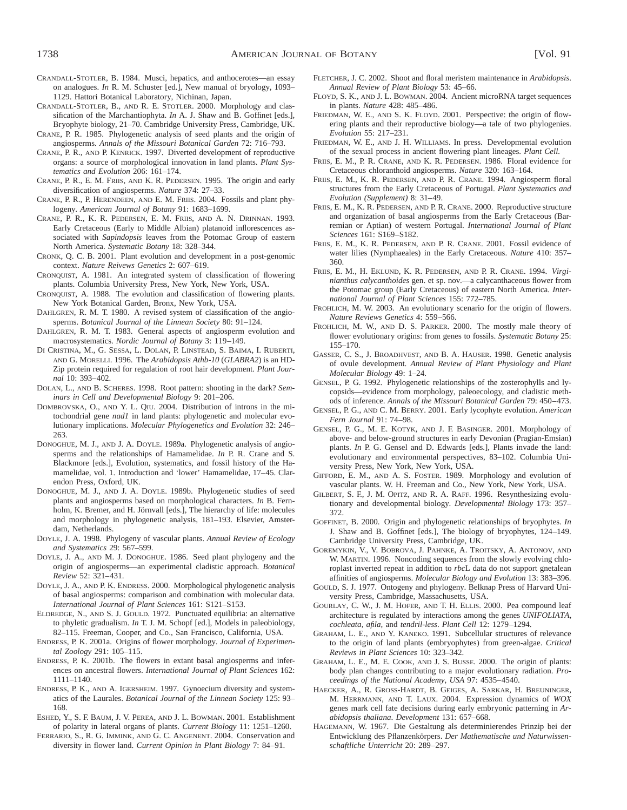- CRANDALL-STOTLER, B. 1984. Musci, hepatics, and anthocerotes—an essay on analogues. *In* R. M. Schuster [ed.], New manual of bryology, 1093– 1129. Hattori Botanical Laboratory, Nichinan, Japan.
- CRANDALL-STOTLER, B., AND R. E. STOTLER. 2000. Morphology and classification of the Marchantiophyta. *In* A. J. Shaw and B. Goffinet [eds.], Bryophyte biology, 21–70. Cambridge University Press, Cambridge, UK.
- CRANE, P. R. 1985. Phylogenetic analysis of seed plants and the origin of angiosperms. *Annals of the Missouri Botanical Garden* 72: 716–793.
- CRANE, P. R., AND P. KENRICK. 1997. Diverted development of reproductive organs: a source of morphological innovation in land plants. *Plant Systematics and Evolution* 206: 161–174.
- CRANE, P. R., E. M. FRIIS, AND K. R. PEDERSEN. 1995. The origin and early diversification of angiosperms. *Nature* 374: 27–33.
- CRANE, P. R., P. HERENDEEN, AND E. M. FRIIS. 2004. Fossils and plant phylogeny. *American Journal of Botany* 91: 1683–1699.
- CRANE, P. R., K. R. PEDERSEN, E. M. FRIIS, AND A. N. DRINNAN. 1993. Early Cretaceous (Early to Middle Albian) platanoid inflorescences associated with *Sapindopsis* leaves from the Potomac Group of eastern North America. *Systematic Botany* 18: 328–344.
- CRONK, Q. C. B. 2001. Plant evolution and development in a post-genomic context. *Nature Reivews Genetics* 2: 607–619.
- CRONQUIST, A. 1981. An integrated system of classification of flowering plants. Columbia University Press, New York, New York, USA.
- CRONQUIST, A. 1988. The evolution and classification of flowering plants. New York Botanical Garden, Bronx, New York, USA.
- DAHLGREN, R. M. T. 1980. A revised system of classification of the angiosperms. *Botanical Journal of the Linnean Society* 80: 91–124.
- DAHLGREN, R. M. T. 1983. General aspects of angiosperm evolution and macrosystematics. *Nordic Journal of Botany* 3: 119–149.
- DI CRISTINA, M., G. SESSA, L. DOLAN, P. LINSTEAD, S. BAIMA, I. RUBERTI, AND G. MORELLI. 1996. The *Arabidopsis Athb-10* (*GLABRA2*) is an HD-Zip protein required for regulation of root hair development. *Plant Journal* 10: 393–402.
- DOLAN, L., AND B. SCHERES. 1998. Root pattern: shooting in the dark? *Seminars in Cell and Developmental Biology* 9: 201–206.
- DOMBROVSKA, O., AND Y. L. QIU. 2004. Distribution of introns in the mitochondrial gene *nad1* in land plants: phylogenetic and molecular evolutionary implications. *Molecular Phylogenetics and Evolution* 32: 246– 263.
- DONOGHUE, M. J., AND J. A. DOYLE. 1989a. Phylogenetic analysis of angiosperms and the relationships of Hamamelidae. *In* P. R. Crane and S. Blackmore [eds.], Evolution, systematics, and fossil history of the Hamamelidae, vol. 1. Introduction and 'lower' Hamamelidae, 17–45. Clarendon Press, Oxford, UK.
- DONOGHUE, M. J., AND J. A. DOYLE. 1989b. Phylogenetic studies of seed plants and angiosperms based on morphological characters. *In* B. Fernholm, K. Bremer, and H. Jörnvall [eds.], The hierarchy of life: molecules and morphology in phylogenetic analysis, 181–193. Elsevier, Amsterdam, Netherlands.
- DOYLE, J. A. 1998. Phylogeny of vascular plants. *Annual Review of Ecology and Systematics* 29: 567–599.
- DOYLE, J. A., AND M. J. DONOGHUE. 1986. Seed plant phylogeny and the origin of angiosperms—an experimental cladistic approach. *Botanical Review* 52: 321–431.
- DOYLE, J. A., AND P. K. ENDRESS. 2000. Morphological phylogenetic analysis of basal angiosperms: comparison and combination with molecular data. *International Journal of Plant Sciences* 161: S121–S153.
- ELDREDGE, N., AND S. J. GOULD. 1972. Punctuated equilibria: an alternative to phyletic gradualism. *In* T. J. M. Schopf [ed.], Models in paleobiology, 82–115. Freeman, Cooper, and Co., San Francisco, California, USA.
- ENDRESS, P. K. 2001a. Origins of flower morphology. *Journal of Experimental Zoology* 291: 105–115.
- ENDRESS, P. K. 2001b. The flowers in extant basal angiosperms and inferences on ancestral flowers. *International Journal of Plant Sciences* 162: 1111–1140.
- ENDRESS, P. K., AND A. IGERSHEIM. 1997. Gynoecium diversity and systematics of the Laurales. *Botanical Journal of the Linnean Society* 125: 93– 168.
- ESHED, Y., S. F. BAUM, J. V. PEREA, AND J. L. BOWMAN. 2001. Establishment of polarity in lateral organs of plants. *Current Biology* 11: 1251–1260.
- FERRARIO, S., R. G. IMMINK, AND G. C. ANGENENT. 2004. Conservation and diversity in flower land. *Current Opinion in Plant Biology* 7: 84–91.
- FLETCHER, J. C. 2002. Shoot and floral meristem maintenance in *Arabidopsis*. *Annual Review of Plant Biology* 53: 45–66.
- FLOYD, S. K., AND J. L. BOWMAN. 2004. Ancient microRNA target sequences in plants. *Nature* 428: 485–486.
- FRIEDMAN, W. E., AND S. K. FLOYD. 2001. Perspective: the origin of flowering plants and their reproductive biology—a tale of two phylogenies. *Evolution* 55: 217–231.
- FRIEDMAN, W. E., AND J. H. WILLIAMS. In press. Developmental evolution of the sexual process in ancient flowering plant lineages. *Plant Cell.*
- FRIIS, E. M., P. R. CRANE, AND K. R. PEDERSEN. 1986. Floral evidence for Cretaceous chloranthoid angiosperms. *Nature* 320: 163–164.
- FRIIS, E. M., K. R. PEDERSEN, AND P. R. CRANE. 1994. Angiosperm floral structures from the Early Cretaceous of Portugal. *Plant Systematics and Evolution (Supplement)* 8: 31–49.
- FRIIS, E. M., K. R. PEDERSEN, AND P. R. CRANE. 2000. Reproductive structure and organization of basal angiosperms from the Early Cretaceous (Barremian or Aptian) of western Portugal. *International Journal of Plant Sciences* 161: S169–S182.
- FRIIS, E. M., K. R. PEDERSEN, AND P. R. CRANE. 2001. Fossil evidence of water lilies (Nymphaeales) in the Early Cretaceous. *Nature* 410: 357– 360.
- FRIIS, E. M., H. EKLUND, K. R. PEDERSEN, AND P. R. CRANE. 1994. *Virginianthus calycanthoides* gen. et sp. nov.—a calycanthaceous flower from the Potomac group (Early Cretaceous) of eastern North America. *International Journal of Plant Sciences* 155: 772–785.
- FROHLICH, M. W. 2003. An evolutionary scenario for the origin of flowers. *Nature Reviews Genetics* 4: 559–566.
- FROHLICH, M. W., AND D. S. PARKER. 2000. The mostly male theory of flower evolutionary origins: from genes to fossils. *Systematic Botany* 25: 155–170.
- GASSER, C. S., J. BROADHVEST, AND B. A. HAUSER. 1998. Genetic analysis of ovule development. *Annual Review of Plant Physiology and Plant Molecular Biology* 49: 1–24.
- GENSEL, P. G. 1992. Phylogenetic relationships of the zosterophylls and lycopsids—evidence from morphology, paleoecology, and cladistic methods of inference. *Annals of the Missouri Botanical Garden* 79: 450–473.
- GENSEL, P. G., AND C. M. BERRY. 2001. Early lycophyte evolution. *American Fern Journal* 91: 74–98.
- GENSEL, P. G., M. E. KOTYK, AND J. F. BASINGER. 2001. Morphology of above- and below-ground structures in early Devonian (Pragian-Emsian) plants. *In* P. G. Gensel and D. Edwards [eds.], Plants invade the land: evolutionary and environmental perspectives, 83–102. Columbia University Press, New York, New York, USA.
- GIFFORD, E. M., AND A. S. FOSTER. 1989. Morphology and evolution of vascular plants. W. H. Freeman and Co., New York, New York, USA.
- GILBERT, S. F., J. M. OPITZ, AND R. A. RAFF. 1996. Resynthesizing evolutionary and developmental biology. *Developmental Biology* 173: 357– 372.
- GOFFINET, B. 2000. Origin and phylogenetic relationships of bryophytes. *In* J. Shaw and B. Goffinet [eds.], The biology of bryophytes, 124–149. Cambridge University Press, Cambridge, UK.
- GOREMYKIN, V., V. BOBROVA, J. PAHNKE, A. TROITSKY, A. ANTONOV, AND W. MARTIN. 1996. Noncoding sequences from the slowly evolving chloroplast inverted repeat in addition to *rbc*L data do not support gnetalean affinities of angiosperms. *Molecular Biology and Evolution* 13: 383–396.
- GOULD, S. J. 1977. Ontogeny and phylogeny. Belknap Press of Harvard University Press, Cambridge, Massachusetts, USA.
- GOURLAY, C. W., J. M. HOFER, AND T. H. ELLIS. 2000. Pea compound leaf architecture is regulated by interactions among the genes *UNIFOLIATA*, *cochleata*, *afila*, and *tendril*-*less*. *Plant Cell* 12: 1279–1294.
- GRAHAM, L. E., AND Y. KANEKO. 1991. Subcellular structures of relevance to the origin of land plants (embryophytes) from green-algae. *Critical Reviews in Plant Sciences* 10: 323–342.
- GRAHAM, L. E., M. E. COOK, AND J. S. BUSSE. 2000. The origin of plants: body plan changes contributing to a major evolutionary radiation. *Proceedings of the National Academy, USA* 97: 4535–4540.
- HAECKER, A., R. GROSS-HARDT, B. GEIGES, A. SARKAR, H. BREUNINGER, M. HERRMANN, AND T. LAUX. 2004. Expression dynamics of *WOX* genes mark cell fate decisions during early embryonic patterning in *Arabidopsis thaliana*. *Development* 131: 657–668.
- HAGEMANN, W. 1967. Die Gestaltung als determinierendes Prinzip bei der Entwicklung des Pflanzenkörpers. Der Mathematische und Naturwissen*schaftliche Unterricht* 20: 289–297.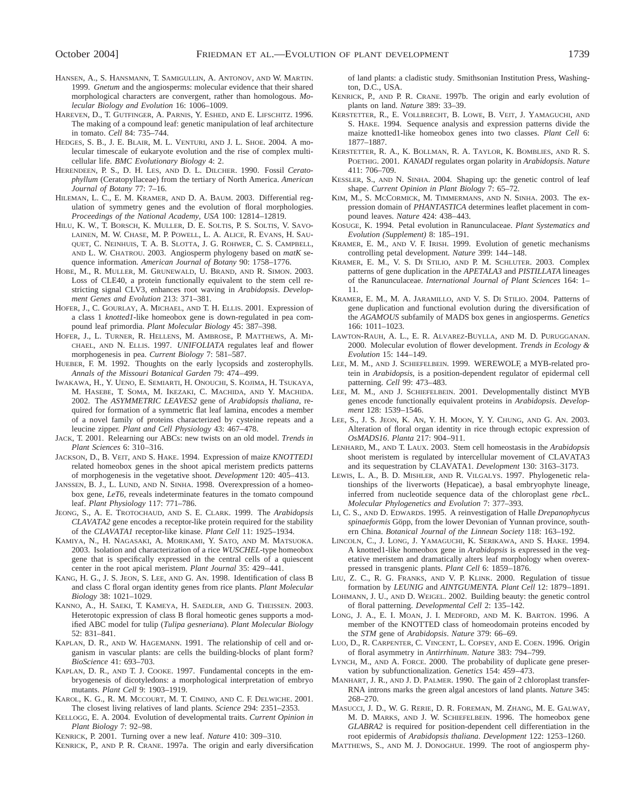- HANSEN, A., S. HANSMANN, T. SAMIGULLIN, A. ANTONOV, AND W. MARTIN. 1999. *Gnetum* and the angiosperms: molecular evidence that their shared morphological characters are convergent, rather than homologous. *Molecular Biology and Evolution* 16: 1006–1009.
- HAREVEN, D., T. GUTFINGER, A. PARNIS, Y. ESHED, AND E. LIFSCHITZ. 1996. The making of a compound leaf: genetic manipulation of leaf architecture in tomato. *Cell* 84: 735–744.
- HEDGES, S. B., J. E. BLAIR, M. L. VENTURI, AND J. L. SHOE. 2004. A molecular timescale of eukaryote evolution and the rise of complex multicellular life. *BMC Evolutionary Biology* 4: 2.
- HERENDEEN, P. S., D. H. LES, AND D. L. DILCHER. 1990. Fossil *Ceratophyllum* (Ceratopyllaceae) from the tertiary of North America. *American Journal of Botany* 77: 7–16.
- HILEMAN, L. C., E. M. KRAMER, AND D. A. BAUM. 2003. Differential regulation of symmetry genes and the evolution of floral morphologies. *Proceedings of the National Academy, USA* 100: 12814–12819.
- HILU, K. W., T. BORSCH, K. MULLER, D. E. SOLTIS, P. S. SOLTIS, V. SAVO-LAINEN, M. W. CHASE, M. P. POWELL, L. A. ALICE, R. EVANS, H. SAU-QUET, C. NEINHUIS, T. A. B. SLOTTA, J. G. ROHWER, C. S. CAMPBELL, AND L. W. CHATROU. 2003. Angiosperm phylogeny based on *matK* sequence information. *American Journal of Botany* 90: 1758–1776.
- HOBE, M., R. MULLER, M. GRUNEWALD, U. BRAND, AND R. SIMON. 2003. Loss of CLE40, a protein functionally equivalent to the stem cell restricting signal CLV3, enhances root waving in *Arabidopsis*. *Development Genes and Evolution* 213: 371–381.
- HOFER, J., C. GOURLAY, A. MICHAEL, AND T. H. ELLIS. 2001. Expression of a class 1 *knotted1*-like homeobox gene is down-regulated in pea compound leaf primordia. *Plant Molecular Biology* 45: 387–398.
- HOFER, J., L. TURNER, R. HELLENS, M. AMBROSE, P. MATTHEWS, A. MI-CHAEL, AND N. ELLIS. 1997. *UNIFOLIATA* regulates leaf and flower morphogenesis in pea. *Current Biology* 7: 581–587.
- HUEBER, F. M. 1992. Thoughts on the early lycopsids and zosterophylls. *Annals of the Missouri Botanical Garden* 79: 474–499.
- IWAKAWA, H., Y. UENO, E. SEMIARTI, H. ONOUCHI, S. KOJIMA, H. TSUKAYA, M. HASEBE, T. SOMA, M. IKEZAKI, C. MACHIDA, AND Y. MACHIDA. 2002. The *ASYMMETRIC LEAVES2* gene of *Arabidopsis thaliana*, required for formation of a symmetric flat leaf lamina, encodes a member of a novel family of proteins characterized by cysteine repeats and a leucine zipper. *Plant and Cell Physiology* 43: 467–478.
- JACK, T. 2001. Relearning our ABCs: new twists on an old model. *Trends in Plant Sciences* 6: 310–316.
- JACKSON, D., B. VEIT, AND S. HAKE. 1994. Expression of maize *KNOTTED1* related homeobox genes in the shoot apical meristem predicts patterns of morphogenesis in the vegetative shoot. *Development* 120: 405–413.
- JANSSEN, B. J., L. LUND, AND N. SINHA. 1998. Overexpression of a homeobox gene, *LeT6,* reveals indeterminate features in the tomato compound leaf. *Plant Physiology* 117: 771–786.
- JEONG, S., A. E. TROTOCHAUD, AND S. E. CLARK. 1999. The *Arabidopsis CLAVATA2* gene encodes a receptor-like protein required for the stability of the *CLAVATA1* receptor-like kinase. *Plant Cell* 11: 1925–1934.
- KAMIYA, N., H. NAGASAKI, A. MORIKAMI, Y. SATO, AND M. MATSUOKA. 2003. Isolation and characterization of a rice *WUSCHEL*-type homeobox gene that is specifically expressed in the central cells of a quiescent center in the root apical meristem. *Plant Journal* 35: 429–441.
- KANG, H. G., J. S. JEON, S. LEE, AND G. AN. 1998. Identification of class B and class C floral organ identity genes from rice plants. *Plant Molecular Biology* 38: 1021–1029.
- KANNO, A., H. SAEKI, T. KAMEYA, H. SAEDLER, AND G. THEISSEN. 2003. Heterotopic expression of class B floral homeotic genes supports a modified ABC model for tulip (*Tulipa gesneriana*). *Plant Molecular Biology* 52: 831–841.
- KAPLAN, D. R., AND W. HAGEMANN. 1991. The relationship of cell and organism in vascular plants: are cells the building-blocks of plant form? *BioScience* 41: 693–703.
- KAPLAN, D. R., AND T. J. COOKE. 1997. Fundamental concepts in the embryogenesis of dicotyledons: a morphological interpretation of embryo mutants. *Plant Cell* 9: 1903–1919.
- KAROL, K. G., R. M. MCCOURT, M. T. CIMINO, AND C. F. DELWICHE. 2001. The closest living relatives of land plants. *Science* 294: 2351–2353.
- KELLOGG, E. A. 2004. Evolution of developmental traits. *Current Opinion in Plant Biology* 7: 92–98.
- KENRICK, P. 2001. Turning over a new leaf. *Nature* 410: 309–310.
- KENRICK, P., AND P. R. CRANE. 1997a. The origin and early diversification

of land plants: a cladistic study. Smithsonian Institution Press, Washington, D.C., USA.

- KENRICK, P., AND P. R. CRANE. 1997b. The origin and early evolution of plants on land. *Nature* 389: 33–39.
- KERSTETTER, R., E. VOLLBRECHT, B. LOWE, B. VEIT, J. YAMAGUCHI, AND S. HAKE. 1994. Sequence analysis and expression patterns divide the maize knotted1-like homeobox genes into two classes. *Plant Cell* 6: 1877–1887.
- KERSTETTER, R. A., K. BOLLMAN, R. A. TAYLOR, K. BOMBLIES, AND R. S. POETHIG. 2001. *KANADI* regulates organ polarity in *Arabidopsis*. *Nature* 411: 706–709.
- KESSLER, S., AND N. SINHA. 2004. Shaping up: the genetic control of leaf shape. *Current Opinion in Plant Biology* 7: 65–72.
- KIM, M., S. MCCORMICK, M. TIMMERMANS, AND N. SINHA. 2003. The expression domain of *PHANTASTICA* determines leaflet placement in compound leaves. *Nature* 424: 438–443.
- KOSUGE, K. 1994. Petal evolution in Ranunculaceae. *Plant Systematics and Evolution (Supplement)* 8: 185–191.
- KRAMER, E. M., AND V. F. IRISH. 1999. Evolution of genetic mechanisms controlling petal development. *Nature* 399: 144–148.
- KRAMER, E. M., V. S. DI STILIO, AND P. M. SCHLUTER. 2003. Complex patterns of gene duplication in the *APETALA3* and *PISTILLATA* lineages of the Ranunculaceae. *International Journal of Plant Sciences* 164: 1– 11.
- KRAMER, E. M., M. A. JARAMILLO, AND V. S. DI STILIO. 2004. Patterns of gene duplication and functional evolution during the diversification of the *AGAMOUS* subfamily of MADS box genes in angiosperms. *Genetics* 166: 1011–1023.
- LAWTON-RAUH, A. L., E. R. ALVAREZ-BUYLLA, AND M. D. PURUGGANAN. 2000. Molecular evolution of flower development. *Trends in Ecology & Evolution* 15: 144–149.
- LEE, M. M., AND J. SCHIEFELBEIN. 1999. WEREWOLF, a MYB-related protein in *Arabidopsis*, is a position-dependent regulator of epidermal cell patterning. *Cell* 99: 473–483.
- LEE, M. M., AND J. SCHIEFELBEIN. 2001. Developmentally distinct MYB genes encode functionally equivalent proteins in *Arabidopsis*. *Development* 128: 1539–1546.
- LEE, S., J. S. JEON, K. AN, Y. H. MOON, Y. Y. CHUNG, AND G. AN. 2003. Alteration of floral organ identity in rice through ectopic expression of *OsMADS16*. *Planta* 217: 904–911.
- LENHARD, M., AND T. LAUX. 2003. Stem cell homeostasis in the *Arabidopsis* shoot meristem is regulated by intercellular movement of CLAVATA3 and its sequestration by CLAVATA1. *Development* 130: 3163–3173.
- LEWIS, L. A., B. D. MISHLER, AND R. VILGALYS. 1997. Phylogenetic relationships of the liverworts (Hepaticae), a basal embryophyte lineage, inferred from nucleotide sequence data of the chloroplast gene *rbc*L. *Molecular Phylogenetics and Evolution* 7: 377–393.
- LI, C. S., AND D. EDWARDS. 1995. A reinvestigation of Halle *Drepanophycus* spinaeformis Göpp, from the lower Devonian of Yunnan province, southern China. *Botanical Journal of the Linnean Society* 118: 163–192.
- LINCOLN, C., J. LONG, J. YAMAGUCHI, K. SERIKAWA, AND S. HAKE. 1994. A knotted1-like homeobox gene in *Arabidopsis* is expressed in the vegetative meristem and dramatically alters leaf morphology when overexpressed in transgenic plants. *Plant Cell* 6: 1859–1876.
- LIU, Z. C., R. G. FRANKS, AND V. P. KLINK. 2000. Regulation of tissue formation by *LEUNIG* and *AINTGUMENTA. Plant Cell* 12: 1879–1891.
- LOHMANN, J. U., AND D. WEIGEL. 2002. Building beauty: the genetic control of floral patterning. *Developmental Cell* 2: 135–142.
- LONG, J. A., E. I. MOAN, J. I. MEDFORD, AND M. K. BARTON. 1996. A member of the KNOTTED class of homeodomain proteins encoded by the *STM* gene of *Arabidopsis*. *Nature* 379: 66–69.
- LUO, D., R. CARPENTER, C. VINCENT, L. COPSEY, AND E. COEN. 1996. Origin of floral asymmetry in *Antirrhinum*. *Nature* 383: 794–799.
- LYNCH, M., AND A. FORCE. 2000. The probability of duplicate gene preservation by subfunctionalization. *Genetics* 154: 459–473.
- MANHART, J. R., AND J. D. PALMER. 1990. The gain of 2 chloroplast transfer-RNA introns marks the green algal ancestors of land plants. *Nature* 345: 268–270.
- MASUCCI, J. D., W. G. RERIE, D. R. FOREMAN, M. ZHANG, M. E. GALWAY, M. D. MARKS, AND J. W. SCHIEFELBEIN. 1996. The homeobox gene *GLABRA2* is required for position-dependent cell differentiation in the root epidermis of *Arabidopsis thaliana*. *Development* 122: 1253–1260.
- MATTHEWS, S., AND M. J. DONOGHUE. 1999. The root of angiosperm phy-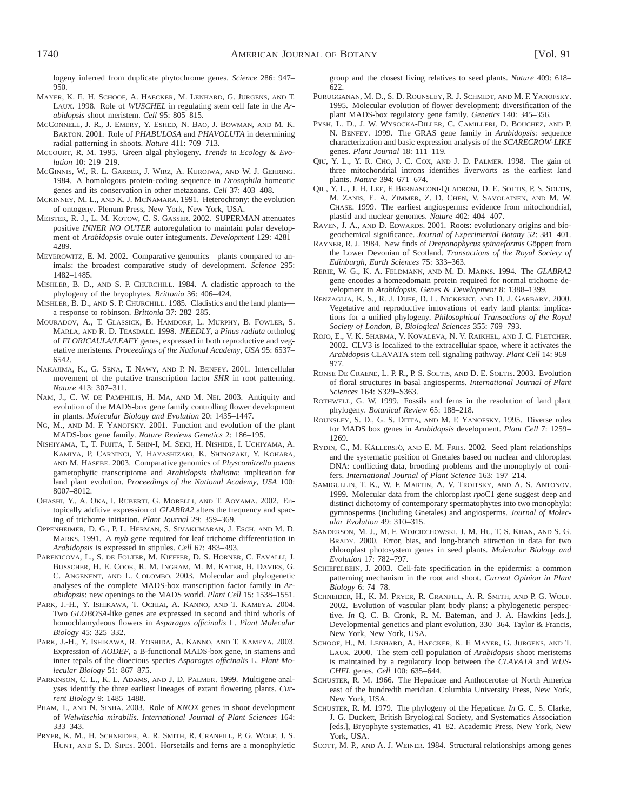logeny inferred from duplicate phytochrome genes. *Science* 286: 947– 950.

- MAYER, K. F., H. SCHOOF, A. HAECKER, M. LENHARD, G. JURGENS, AND T. LAUX. 1998. Role of *WUSCHEL* in regulating stem cell fate in the *Arabidopsis* shoot meristem. *Cell* 95: 805–815.
- MCCONNELL, J. R., J. EMERY, Y. ESHED, N. BAO, J. BOWMAN, AND M. K. BARTON. 2001. Role of *PHABULOSA* and *PHAVOLUTA* in determining radial patterning in shoots. *Nature* 411: 709–713.
- MCCOURT, R. M. 1995. Green algal phylogeny. *Trends in Ecology & Evolution* 10: 219–219.
- MCGINNIS, W., R. L. GARBER, J. WIRZ, A. KUROIWA, AND W. J. GEHRING. 1984. A homologous protein-coding sequence in *Drosophila* homeotic genes and its conservation in other metazoans. *Cell* 37: 403–408.
- MCKINNEY, M. L., AND K. J. MCNAMARA. 1991. Heterochrony: the evolution of ontogeny. Plenum Press, New York, New York, USA.
- MEISTER, R. J., L. M. KOTOW, C. S. GASSER. 2002. SUPERMAN attenuates positive *INNER NO OUTER* autoregulation to maintain polar development of *Arabidopsis* ovule outer integuments. *Development* 129: 4281– 4289.
- MEYEROWITZ, E. M. 2002. Comparative genomics—plants compared to animals: the broadest comparative study of development. *Science* 295: 1482–1485.
- MISHLER, B. D., AND S. P. CHURCHILL. 1984. A cladistic approach to the phylogeny of the bryophytes. *Brittonia* 36: 406–424.
- MISHLER, B. D., AND S. P. CHURCHILL. 1985. Cladistics and the land plants a response to robinson. *Brittonia* 37: 282–285.
- MOURADOV, A., T. GLASSICK, B. HAMDORF, L. MURPHY, B. FOWLER, S. MARLA, AND R. D. TEASDALE. 1998. *NEEDLY*, a *Pinus radiata* ortholog of *FLORICAULA*/*LEAFY* genes, expressed in both reproductive and vegetative meristems. *Proceedings of the National Academy, USA* 95: 6537– 6542.
- NAKAJIMA, K., G. SENA, T. NAWY, AND P. N. BENFEY. 2001. Intercellular movement of the putative transcription factor *SHR* in root patterning. *Nature* 413: 307–311.
- NAM, J., C. W. DE PAMPHILIS, H. MA, AND M. NEI. 2003. Antiquity and evolution of the MADS-box gene family controlling flower development in plants. *Molecular Biology and Evolution* 20: 1435–1447.
- NG, M., AND M. F. YANOFSKY. 2001. Function and evolution of the plant MADS-box gene family. *Nature Reviews Genetics* 2: 186–195.
- NISHIYAMA, T., T. FUJITA, T. SHIN-I, M. SEKI, H. NISHIDE, I. UCHIYAMA, A. KAMIYA, P. CARNINCI, Y. HAYASHIZAKI, K. SHINOZAKI, Y. KOHARA, AND M. HASEBE. 2003. Comparative genomics of *Physcomitrella patens* gametophytic transcriptome and *Arabidopsis thaliana*: implication for land plant evolution. *Proceedings of the National Academy, USA* 100: 8007–8012.
- OHASHI, Y., A. OKA, I. RUBERTI, G. MORELLI, AND T. AOYAMA. 2002. Entopically additive expression of *GLABRA2* alters the frequency and spacing of trichome initiation. *Plant Journal* 29: 359–369.
- OPPENHEIMER, D. G., P. L. HERMAN, S. SIVAKUMARAN, J. ESCH, AND M. D. MARKS. 1991. A *myb* gene required for leaf trichome differentiation in *Arabidopsis* is expressed in stipules. *Cell* 67: 483–493.
- PARENICOVA, L., S. DE FOLTER, M. KIEFFER, D. S. HORNER, C. FAVALLI, J. BUSSCHER, H. E. COOK, R. M. INGRAM, M. M. KATER, B. DAVIES, G. C. ANGENENT, AND L. COLOMBO. 2003. Molecular and phylogenetic analyses of the complete MADS-box transcription factor family in *Arabidopsis*: new openings to the MADS world. *Plant Cell* 15: 1538–1551.
- PARK, J.-H., Y. ISHIKAWA, T. OCHIAI, A. KANNO, AND T. KAMEYA. 2004. Two *GLOBOSA*-like genes are expressed in second and third whorls of homochlamydeous flowers in *Asparagus officinalis* L. *Plant Molecular Biology* 45: 325–332.
- PARK, J.-H., Y. ISHIKAWA, R. YOSHIDA, A. KANNO, AND T. KAMEYA. 2003. Expression of *AODEF*, a B-functional MADS-box gene, in stamens and inner tepals of the dioecious species *Asparagus officinalis* L. *Plant Molecular Biology* 51: 867–875.
- PARKINSON, C. L., K. L. ADAMS, AND J. D. PALMER. 1999. Multigene analyses identify the three earliest lineages of extant flowering plants. *Current Biology* 9: 1485–1488.
- PHAM, T., AND N. SINHA. 2003. Role of *KNOX* genes in shoot development of *Welwitschia mirabilis*. *International Journal of Plant Sciences* 164: 333–343.
- PRYER, K. M., H. SCHNEIDER, A. R. SMITH, R. CRANFILL, P. G. WOLF, J. S. HUNT, AND S. D. SIPES. 2001. Horsetails and ferns are a monophyletic

group and the closest living relatives to seed plants. *Nature* 409: 618– 622.

- PURUGGANAN, M. D., S. D. ROUNSLEY, R. J. SCHMIDT, AND M. F. YANOFSKY. 1995. Molecular evolution of flower development: diversification of the plant MADS-box regulatory gene family. *Genetics* 140: 345–356.
- PYSH, L. D., J. W. WYSOCKA-DILLER, C. CAMILLERI, D. BOUCHEZ, AND P. N. BENFEY. 1999. The GRAS gene family in *Arabidopsis*: sequence characterization and basic expression analysis of the *SCARECROW-LIKE* genes. *Plant Journal* 18: 111–119.
- QIU, Y. L., Y. R. CHO, J. C. COX, AND J. D. PALMER. 1998. The gain of three mitochondrial introns identifies liverworts as the earliest land plants. *Nature* 394: 671–674.
- QIU, Y. L., J. H. LEE, F. BERNASCONI-QUADRONI, D. E. SOLTIS, P. S. SOLTIS, M. ZANIS, E. A. ZIMMER, Z. D. CHEN, V. SAVOLAINEN, AND M. W. CHASE. 1999. The earliest angiosperms: evidence from mitochondrial, plastid and nuclear genomes. *Nature* 402: 404–407.
- RAVEN, J. A., AND D. EDWARDS. 2001. Roots: evolutionary origins and biogeochemical significance. *Journal of Experimental Botany* 52: 381–401.
- RAYNER, R. J. 1984. New finds of *Drepanophycus spinaeformis* Göppert from the Lower Devonian of Scotland. *Transactions of the Royal Society of Edinburgh, Earth Sciences* 75: 333–363.
- RERIE, W. G., K. A. FELDMANN, AND M. D. MARKS. 1994. The *GLABRA2* gene encodes a homeodomain protein required for normal trichome development in *Arabidopsis*. *Genes & Development* 8: 1388–1399.
- RENZAGLIA, K. S., R. J. DUFF, D. L. NICKRENT, AND D. J. GARBARY. 2000. Vegetative and reproductive innovations of early land plants: implications for a unified phylogeny. *Philosophical Transactions of the Royal Society of London, B, Biological Sciences* 355: 769–793.
- ROJO, E., V. K. SHARMA, V. KOVALEVA, N. V. RAIKHEL, AND J. C. FLETCHER. 2002. CLV3 is localized to the extracellular space, where it activates the *Arabidopsis* CLAVATA stem cell signaling pathway. *Plant Cell* 14: 969– 977.
- RONSE DE CRAENE, L. P. R., P. S. SOLTIS, AND D. E. SOLTIS. 2003. Evolution of floral structures in basal angiosperms. *International Journal of Plant Sciences* 164: S329–S363.
- ROTHWELL, G. W. 1999. Fossils and ferns in the resolution of land plant phylogeny. *Botanical Review* 65: 188–218.
- ROUNSLEY, S. D., G. S. DITTA, AND M. F. YANOFSKY. 1995. Diverse roles for MADS box genes in *Arabidopsis* development. *Plant Cell* 7: 1259– 1269.
- RYDIN, C., M. KÄLLERSJÖ, AND E. M. FRIIS. 2002. Seed plant relationships and the systematic position of Gnetales based on nuclear and chloroplast DNA: conflicting data, brooding problems and the monophyly of conifers. *International Journal of Plant Science* 163: 197–214.
- SAMIGULLIN, T. K., W. F. MARTIN, A. V. TROITSKY, AND A. S. ANTONOV. 1999. Molecular data from the chloroplast *rpo*C1 gene suggest deep and distinct dichotomy of contemporary spermatophytes into two monophyla: gymnosperms (including Gnetales) and angiosperms. *Journal of Molecular Evolution* 49: 310–315.
- SANDERSON, M. J., M. F. WOJCIECHOWSKI, J. M. HU, T. S. KHAN, AND S. G. BRADY. 2000. Error, bias, and long-branch attraction in data for two chloroplast photosystem genes in seed plants. *Molecular Biology and Evolution* 17: 782–797.
- SCHIEFELBEIN, J. 2003. Cell-fate specification in the epidermis: a common patterning mechanism in the root and shoot. *Current Opinion in Plant Biology* 6: 74–78.
- SCHNEIDER, H., K. M. PRYER, R. CRANFILL, A. R. SMITH, AND P. G. WOLF. 2002. Evolution of vascular plant body plans: a phylogenetic perspective. *In* Q. C. B. Cronk, R. M. Bateman, and J. A. Hawkins [eds.], Developmental genetics and plant evolution, 330–364. Taylor & Francis, New York, New York, USA.
- SCHOOF, H., M. LENHARD, A. HAECKER, K. F. MAYER, G. JURGENS, AND T. LAUX. 2000. The stem cell population of *Arabidopsis* shoot meristems is maintained by a regulatory loop between the *CLAVATA* and *WUS-CHEL* genes. *Cell* 100: 635–644.
- SCHUSTER, R. M. 1966. The Hepaticae and Anthocerotae of North America east of the hundredth meridian. Columbia University Press, New York, New York, USA.
- SCHUSTER, R. M. 1979. The phylogeny of the Hepaticae. *In* G. C. S. Clarke, J. G. Duckett, British Bryological Society, and Systematics Association [eds.], Bryophyte systematics, 41–82. Academic Press, New York, New York, USA.
- SCOTT, M. P., AND A. J. WEINER. 1984. Structural relationships among genes